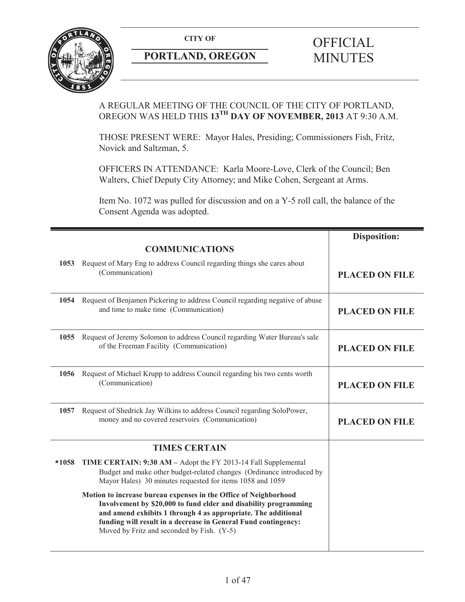

# **PORTLAND, OREGON MINUTES**

## A REGULAR MEETING OF THE COUNCIL OF THE CITY OF PORTLAND, OREGON WAS HELD THIS **13TH DAY OF NOVEMBER, 2013** AT 9:30 A.M.

THOSE PRESENT WERE: Mayor Hales, Presiding; Commissioners Fish, Fritz, Novick and Saltzman, 5.

OFFICERS IN ATTENDANCE: Karla Moore-Love, Clerk of the Council; Ben Walters, Chief Deputy City Attorney; and Mike Cohen, Sergeant at Arms.

Item No. 1072 was pulled for discussion and on a Y-5 roll call, the balance of the Consent Agenda was adopted.

|         | <b>COMMUNICATIONS</b>                                                                                                                                                                                                                                                                                                 | <b>Disposition:</b>   |
|---------|-----------------------------------------------------------------------------------------------------------------------------------------------------------------------------------------------------------------------------------------------------------------------------------------------------------------------|-----------------------|
| 1053    | Request of Mary Eng to address Council regarding things she cares about<br>(Communication)                                                                                                                                                                                                                            | <b>PLACED ON FILE</b> |
| 1054    | Request of Benjamen Pickering to address Council regarding negative of abuse<br>and time to make time (Communication)                                                                                                                                                                                                 | <b>PLACED ON FILE</b> |
| 1055    | Request of Jeremy Solomon to address Council regarding Water Bureau's sale<br>of the Freeman Facility (Communication)                                                                                                                                                                                                 | <b>PLACED ON FILE</b> |
| 1056    | Request of Michael Krupp to address Council regarding his two cents worth<br>(Communication)                                                                                                                                                                                                                          | <b>PLACED ON FILE</b> |
| 1057    | Request of Shedrick Jay Wilkins to address Council regarding SoloPower,<br>money and no covered reservoirs (Communication)                                                                                                                                                                                            | <b>PLACED ON FILE</b> |
|         | <b>TIMES CERTAIN</b>                                                                                                                                                                                                                                                                                                  |                       |
| $*1058$ | TIME CERTAIN: 9:30 AM - Adopt the FY 2013-14 Fall Supplemental<br>Budget and make other budget-related changes (Ordinance introduced by<br>Mayor Hales) 30 minutes requested for items 1058 and 1059                                                                                                                  |                       |
|         | Motion to increase bureau expenses in the Office of Neighborhood<br>Involvement by \$20,000 to fund elder and disability programming<br>and amend exhibits 1 through 4 as appropriate. The additional<br>funding will result in a decrease in General Fund contingency:<br>Moved by Fritz and seconded by Fish. (Y-5) |                       |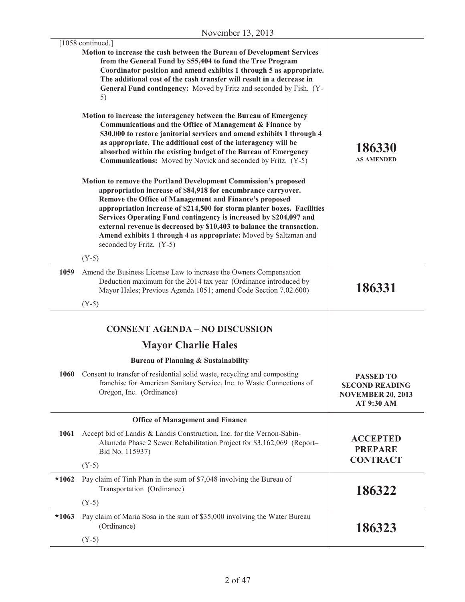|         | [1058 continued.]<br>Motion to increase the cash between the Bureau of Development Services<br>from the General Fund by \$55,404 to fund the Tree Program<br>Coordinator position and amend exhibits 1 through 5 as appropriate.<br>The additional cost of the cash transfer will result in a decrease in<br>General Fund contingency: Moved by Fritz and seconded by Fish. (Y-<br>5)<br>Motion to increase the interagency between the Bureau of Emergency<br>Communications and the Office of Management & Finance by<br>\$30,000 to restore janitorial services and amend exhibits 1 through 4<br>as appropriate. The additional cost of the interagency will be<br>absorbed within the existing budget of the Bureau of Emergency<br><b>Communications:</b> Moved by Novick and seconded by Fritz. (Y-5)<br>Motion to remove the Portland Development Commission's proposed<br>appropriation increase of \$84,918 for encumbrance carryover. | 186330<br><b>AS AMENDED</b>                                                         |
|---------|--------------------------------------------------------------------------------------------------------------------------------------------------------------------------------------------------------------------------------------------------------------------------------------------------------------------------------------------------------------------------------------------------------------------------------------------------------------------------------------------------------------------------------------------------------------------------------------------------------------------------------------------------------------------------------------------------------------------------------------------------------------------------------------------------------------------------------------------------------------------------------------------------------------------------------------------------|-------------------------------------------------------------------------------------|
|         | Remove the Office of Management and Finance's proposed<br>appropriation increase of \$214,500 for storm planter boxes. Facilities<br>Services Operating Fund contingency is increased by \$204,097 and<br>external revenue is decreased by \$10,403 to balance the transaction.<br>Amend exhibits 1 through 4 as appropriate: Moved by Saltzman and<br>seconded by Fritz. (Y-5)<br>$(Y-5)$                                                                                                                                                                                                                                                                                                                                                                                                                                                                                                                                                       |                                                                                     |
| 1059    | Amend the Business License Law to increase the Owners Compensation<br>Deduction maximum for the 2014 tax year (Ordinance introduced by<br>Mayor Hales; Previous Agenda 1051; amend Code Section 7.02.600)                                                                                                                                                                                                                                                                                                                                                                                                                                                                                                                                                                                                                                                                                                                                        | 186331                                                                              |
|         | $(Y-5)$                                                                                                                                                                                                                                                                                                                                                                                                                                                                                                                                                                                                                                                                                                                                                                                                                                                                                                                                          |                                                                                     |
|         | <b>CONSENT AGENDA - NO DISCUSSION</b>                                                                                                                                                                                                                                                                                                                                                                                                                                                                                                                                                                                                                                                                                                                                                                                                                                                                                                            |                                                                                     |
|         | <b>Mayor Charlie Hales</b>                                                                                                                                                                                                                                                                                                                                                                                                                                                                                                                                                                                                                                                                                                                                                                                                                                                                                                                       |                                                                                     |
|         | <b>Bureau of Planning &amp; Sustainability</b>                                                                                                                                                                                                                                                                                                                                                                                                                                                                                                                                                                                                                                                                                                                                                                                                                                                                                                   |                                                                                     |
|         | 1060 Consent to transfer of residential solid waste, recycling and composting<br>franchise for American Sanitary Service, Inc. to Waste Connections of<br>Oregon, Inc. (Ordinance)                                                                                                                                                                                                                                                                                                                                                                                                                                                                                                                                                                                                                                                                                                                                                               | <b>PASSED TO</b><br><b>SECOND READING</b><br><b>NOVEMBER 20, 2013</b><br>AT 9:30 AM |
|         | <b>Office of Management and Finance</b>                                                                                                                                                                                                                                                                                                                                                                                                                                                                                                                                                                                                                                                                                                                                                                                                                                                                                                          |                                                                                     |
| 1061    | Accept bid of Landis & Landis Construction, Inc. for the Vernon-Sabin-<br>Alameda Phase 2 Sewer Rehabilitation Project for \$3,162,069 (Report-<br>Bid No. 115937)                                                                                                                                                                                                                                                                                                                                                                                                                                                                                                                                                                                                                                                                                                                                                                               | <b>ACCEPTED</b><br><b>PREPARE</b>                                                   |
|         | $(Y-5)$                                                                                                                                                                                                                                                                                                                                                                                                                                                                                                                                                                                                                                                                                                                                                                                                                                                                                                                                          | <b>CONTRACT</b>                                                                     |
| $*1062$ | Pay claim of Tinh Phan in the sum of \$7,048 involving the Bureau of<br>Transportation (Ordinance)                                                                                                                                                                                                                                                                                                                                                                                                                                                                                                                                                                                                                                                                                                                                                                                                                                               | 186322                                                                              |
|         | $(Y-5)$                                                                                                                                                                                                                                                                                                                                                                                                                                                                                                                                                                                                                                                                                                                                                                                                                                                                                                                                          |                                                                                     |
| $*1063$ | Pay claim of Maria Sosa in the sum of \$35,000 involving the Water Bureau<br>(Ordinance)                                                                                                                                                                                                                                                                                                                                                                                                                                                                                                                                                                                                                                                                                                                                                                                                                                                         | 186323                                                                              |
|         | $(Y-5)$                                                                                                                                                                                                                                                                                                                                                                                                                                                                                                                                                                                                                                                                                                                                                                                                                                                                                                                                          |                                                                                     |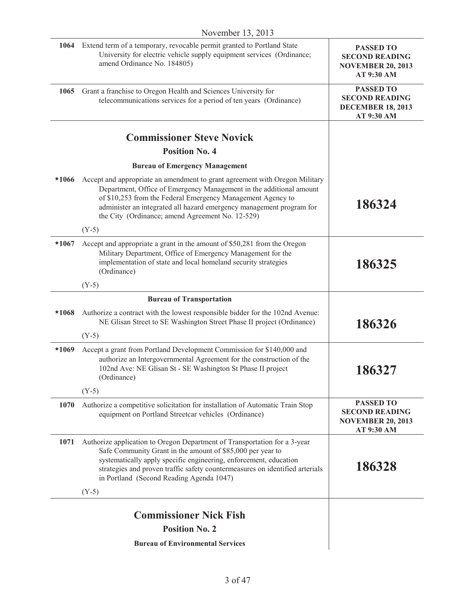| 1064 Extend term of a temporary, revocable permit granted to Portland State<br>University for electric vehicle supply equipment services (Ordinance;<br>amend Ordinance No. 184805)                                                                                                                                                                      | <b>PASSED TO</b><br><b>SECOND READING</b><br><b>NOVEMBER 20, 2013</b><br>AT 9:30 AM |
|----------------------------------------------------------------------------------------------------------------------------------------------------------------------------------------------------------------------------------------------------------------------------------------------------------------------------------------------------------|-------------------------------------------------------------------------------------|
| Grant a franchise to Oregon Health and Sciences University for<br>1065<br>telecommunications services for a period of ten years (Ordinance)                                                                                                                                                                                                              | <b>PASSED TO</b><br><b>SECOND READING</b><br><b>DECEMBER 18, 2013</b><br>AT 9:30 AM |
| <b>Commissioner Steve Novick</b>                                                                                                                                                                                                                                                                                                                         |                                                                                     |
| <b>Position No. 4</b>                                                                                                                                                                                                                                                                                                                                    |                                                                                     |
| <b>Bureau of Emergency Management</b>                                                                                                                                                                                                                                                                                                                    |                                                                                     |
| $*1066$<br>Accept and appropriate an amendment to grant agreement with Oregon Military<br>Department, Office of Emergency Management in the additional amount<br>of \$10,253 from the Federal Emergency Management Agency to<br>administer an integrated all hazard emergency management program for<br>the City (Ordinance; amend Agreement No. 12-529) | 186324                                                                              |
| $(Y-5)$                                                                                                                                                                                                                                                                                                                                                  |                                                                                     |
| $*1067$<br>Accept and appropriate a grant in the amount of \$50,281 from the Oregon<br>Military Department, Office of Emergency Management for the<br>implementation of state and local homeland security strategies<br>(Ordinance)                                                                                                                      | 186325                                                                              |
| $(Y-5)$                                                                                                                                                                                                                                                                                                                                                  |                                                                                     |
| <b>Bureau of Transportation</b>                                                                                                                                                                                                                                                                                                                          |                                                                                     |
| Authorize a contract with the lowest responsible bidder for the 102nd Avenue:<br>*1068<br>NE Glisan Street to SE Washington Street Phase II project (Ordinance)                                                                                                                                                                                          | 186326                                                                              |
| $(Y-5)$                                                                                                                                                                                                                                                                                                                                                  |                                                                                     |
| Accept a grant from Portland Development Commission for \$140,000 and<br>$*1069$<br>authorize an Intergovernmental Agreement for the construction of the<br>102nd Ave: NE Glisan St - SE Washington St Phase II project<br>(Ordinance)                                                                                                                   | 186327                                                                              |
| $(Y-5)$                                                                                                                                                                                                                                                                                                                                                  |                                                                                     |
| 1070<br>Authorize a competitive solicitation for installation of Automatic Train Stop<br>equipment on Portland Streetcar vehicles (Ordinance)                                                                                                                                                                                                            | <b>PASSED TO</b><br><b>SECOND READING</b><br><b>NOVEMBER 20, 2013</b><br>AT 9:30 AM |
| Authorize application to Oregon Department of Transportation for a 3-year<br>1071<br>Safe Community Grant in the amount of \$85,000 per year to<br>systematically apply specific engineering, enforcement, education<br>strategies and proven traffic safety countermeasures on identified arterials<br>in Portland (Second Reading Agenda 1047)         | 186328                                                                              |
| $(Y-5)$                                                                                                                                                                                                                                                                                                                                                  |                                                                                     |
| <b>Commissioner Nick Fish</b>                                                                                                                                                                                                                                                                                                                            |                                                                                     |
| <b>Position No. 2</b>                                                                                                                                                                                                                                                                                                                                    |                                                                                     |
| <b>Bureau of Environmental Services</b>                                                                                                                                                                                                                                                                                                                  |                                                                                     |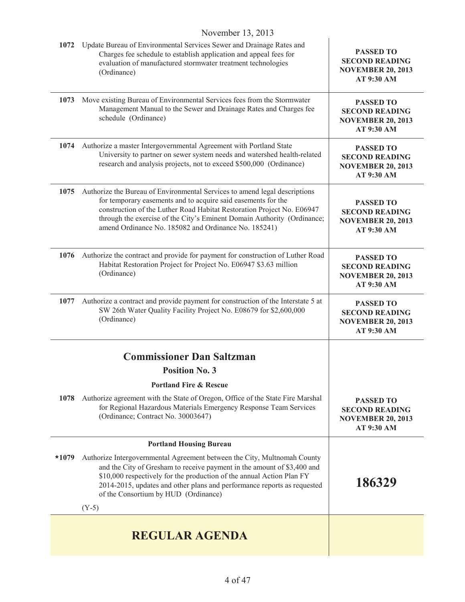| 1072    | Update Bureau of Environmental Services Sewer and Drainage Rates and<br>Charges fee schedule to establish application and appeal fees for<br>evaluation of manufactured stormwater treatment technologies<br>(Ordinance)                                                                                                                                 | <b>PASSED TO</b><br><b>SECOND READING</b><br><b>NOVEMBER 20, 2013</b><br>AT 9:30 AM |
|---------|----------------------------------------------------------------------------------------------------------------------------------------------------------------------------------------------------------------------------------------------------------------------------------------------------------------------------------------------------------|-------------------------------------------------------------------------------------|
| 1073    | Move existing Bureau of Environmental Services fees from the Stormwater<br>Management Manual to the Sewer and Drainage Rates and Charges fee<br>schedule (Ordinance)                                                                                                                                                                                     | <b>PASSED TO</b><br><b>SECOND READING</b><br><b>NOVEMBER 20, 2013</b><br>AT 9:30 AM |
| 1074    | Authorize a master Intergovernmental Agreement with Portland State<br>University to partner on sewer system needs and watershed health-related<br>research and analysis projects, not to exceed \$500,000 (Ordinance)                                                                                                                                    | <b>PASSED TO</b><br><b>SECOND READING</b><br><b>NOVEMBER 20, 2013</b><br>AT 9:30 AM |
| 1075    | Authorize the Bureau of Environmental Services to amend legal descriptions<br>for temporary easements and to acquire said easements for the<br>construction of the Luther Road Habitat Restoration Project No. E06947<br>through the exercise of the City's Eminent Domain Authority (Ordinance;<br>amend Ordinance No. 185082 and Ordinance No. 185241) | <b>PASSED TO</b><br><b>SECOND READING</b><br><b>NOVEMBER 20, 2013</b><br>AT 9:30 AM |
| 1076    | Authorize the contract and provide for payment for construction of Luther Road<br>Habitat Restoration Project for Project No. E06947 \$3.63 million<br>(Ordinance)                                                                                                                                                                                       | <b>PASSED TO</b><br><b>SECOND READING</b><br><b>NOVEMBER 20, 2013</b><br>AT 9:30 AM |
| 1077    | Authorize a contract and provide payment for construction of the Interstate 5 at<br>SW 26th Water Quality Facility Project No. E08679 for \$2,600,000<br>(Ordinance)                                                                                                                                                                                     | <b>PASSED TO</b><br><b>SECOND READING</b><br><b>NOVEMBER 20, 2013</b><br>AT 9:30 AM |
|         | <b>Commissioner Dan Saltzman</b>                                                                                                                                                                                                                                                                                                                         |                                                                                     |
|         | <b>Position No. 3</b>                                                                                                                                                                                                                                                                                                                                    |                                                                                     |
|         | <b>Portland Fire &amp; Rescue</b>                                                                                                                                                                                                                                                                                                                        |                                                                                     |
| 1078    | Authorize agreement with the State of Oregon, Office of the State Fire Marshal<br>for Regional Hazardous Materials Emergency Response Team Services<br>(Ordinance; Contract No. 30003647)                                                                                                                                                                | <b>PASSED TO</b><br><b>SECOND READING</b><br><b>NOVEMBER 20, 2013</b><br>AT 9:30 AM |
|         | <b>Portland Housing Bureau</b>                                                                                                                                                                                                                                                                                                                           |                                                                                     |
| $*1079$ | Authorize Intergovernmental Agreement between the City, Multnomah County<br>and the City of Gresham to receive payment in the amount of \$3,400 and<br>\$10,000 respectively for the production of the annual Action Plan FY<br>2014-2015, updates and other plans and performance reports as requested<br>of the Consortium by HUD (Ordinance)          | 186329                                                                              |
|         | $(Y-5)$                                                                                                                                                                                                                                                                                                                                                  |                                                                                     |
|         | <b>REGULAR AGENDA</b>                                                                                                                                                                                                                                                                                                                                    |                                                                                     |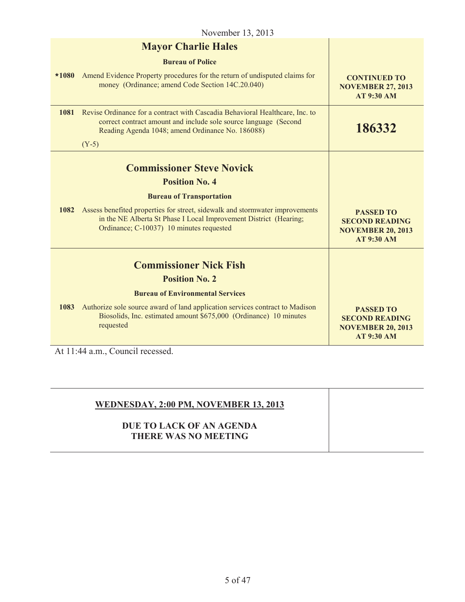| November 13, 2013        |                                                                                                                                                                                                      |                                                                                            |
|--------------------------|------------------------------------------------------------------------------------------------------------------------------------------------------------------------------------------------------|--------------------------------------------------------------------------------------------|
|                          | <b>Mayor Charlie Hales</b>                                                                                                                                                                           |                                                                                            |
|                          | <b>Bureau of Police</b>                                                                                                                                                                              |                                                                                            |
| $*1080$                  | Amend Evidence Property procedures for the return of undisputed claims for<br>money (Ordinance; amend Code Section 14C.20.040)                                                                       | <b>CONTINUED TO</b><br><b>NOVEMBER 27, 2013</b><br><b>AT 9:30 AM</b>                       |
| 1081                     | Revise Ordinance for a contract with Cascadia Behavioral Healthcare, Inc. to<br>correct contract amount and include sole source language (Second<br>Reading Agenda 1048; amend Ordinance No. 186088) | 186332                                                                                     |
|                          | $(Y-5)$                                                                                                                                                                                              |                                                                                            |
|                          | <b>Commissioner Steve Novick</b>                                                                                                                                                                     |                                                                                            |
|                          | <b>Position No. 4</b>                                                                                                                                                                                |                                                                                            |
|                          | <b>Bureau of Transportation</b>                                                                                                                                                                      |                                                                                            |
| 1082                     | Assess benefited properties for street, sidewalk and stormwater improvements<br>in the NE Alberta St Phase I Local Improvement District (Hearing;<br>Ordinance; C-10037) 10 minutes requested        | <b>PASSED TO</b><br><b>SECOND READING</b><br><b>NOVEMBER 20, 2013</b><br><b>AT 9:30 AM</b> |
|                          | <b>Commissioner Nick Fish</b>                                                                                                                                                                        |                                                                                            |
|                          | <b>Position No. 2</b>                                                                                                                                                                                |                                                                                            |
|                          | <b>Bureau of Environmental Services</b>                                                                                                                                                              |                                                                                            |
| 1083                     | Authorize sole source award of land application services contract to Madison<br>Biosolids, Inc. estimated amount \$675,000 (Ordinance) 10 minutes<br>requested                                       | <b>PASSED TO</b><br><b>SECOND READING</b><br><b>NOVEMBER 20, 2013</b><br><b>AT 9:30 AM</b> |
| $\lambda$ , 11 $\lambda$ | $\cdot$ 1<br>$\mathbf{1}$<br>$\sim$                                                                                                                                                                  |                                                                                            |

At 11:44 a.m., Council recessed.

## **WEDNESDAY, 2:00 PM, NOVEMBER 13, 2013**

## **DUE TO LACK OF AN AGENDA THERE WAS NO MEETING**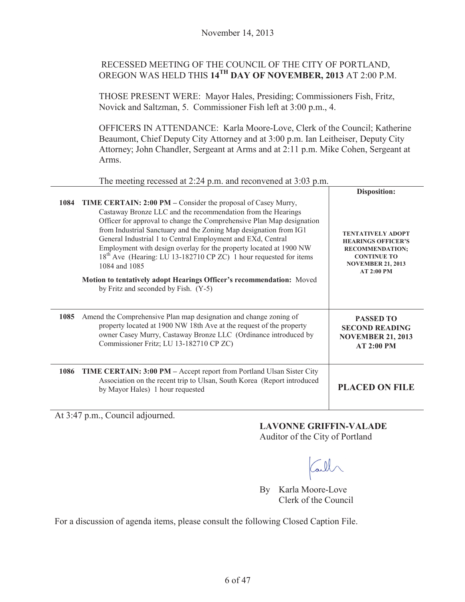## RECESSED MEETING OF THE COUNCIL OF THE CITY OF PORTLAND, OREGON WAS HELD THIS **14TH DAY OF NOVEMBER, 2013** AT 2:00 P.M.

THOSE PRESENT WERE: Mayor Hales, Presiding; Commissioners Fish, Fritz, Novick and Saltzman, 5. Commissioner Fish left at 3:00 p.m., 4.

OFFICERS IN ATTENDANCE: Karla Moore-Love, Clerk of the Council; Katherine Beaumont, Chief Deputy City Attorney and at 3:00 p.m. Ian Leitheiser, Deputy City Attorney; John Chandler, Sergeant at Arms and at 2:11 p.m. Mike Cohen, Sergeant at Arms.

| The meeting recessed at 2:24 p.m. and reconvened at 3:03 p.m. |                                                                                                                                                                                                                                                                                                                                                                                                                                                                                                                                                                                                                                           |                                                                                                                                                        |
|---------------------------------------------------------------|-------------------------------------------------------------------------------------------------------------------------------------------------------------------------------------------------------------------------------------------------------------------------------------------------------------------------------------------------------------------------------------------------------------------------------------------------------------------------------------------------------------------------------------------------------------------------------------------------------------------------------------------|--------------------------------------------------------------------------------------------------------------------------------------------------------|
|                                                               |                                                                                                                                                                                                                                                                                                                                                                                                                                                                                                                                                                                                                                           | <b>Disposition:</b>                                                                                                                                    |
| 1084                                                          | <b>TIME CERTAIN: 2:00 PM</b> – Consider the proposal of Casey Murry,<br>Castaway Bronze LLC and the recommendation from the Hearings<br>Officer for approval to change the Comprehensive Plan Map designation<br>from Industrial Sanctuary and the Zoning Map designation from IG1<br>General Industrial 1 to Central Employment and EXd, Central<br>Employment with design overlay for the property located at 1900 NW<br>18 <sup>th</sup> Ave (Hearing: LU 13-182710 CP ZC) 1 hour requested for items<br>1084 and 1085<br>Motion to tentatively adopt Hearings Officer's recommendation: Moved<br>by Fritz and seconded by Fish. (Y-5) | <b>TENTATIVELY ADOPT</b><br><b>HEARINGS OFFICER'S</b><br><b>RECOMMENDATION:</b><br><b>CONTINUE TO</b><br><b>NOVEMBER 21, 2013</b><br><b>AT 2:00 PM</b> |
| 1085                                                          | Amend the Comprehensive Plan map designation and change zoning of<br>property located at 1900 NW 18th Ave at the request of the property<br>owner Casey Murry, Castaway Bronze LLC (Ordinance introduced by<br>Commissioner Fritz; LU 13-182710 CP ZC)                                                                                                                                                                                                                                                                                                                                                                                    | <b>PASSED TO</b><br><b>SECOND READING</b><br><b>NOVEMBER 21, 2013</b><br>AT 2:00 PM                                                                    |
| 1086                                                          | <b>TIME CERTAIN: 3:00 PM - Accept report from Portland Ulsan Sister City</b><br>Association on the recent trip to Ulsan, South Korea (Report introduced<br>by Mayor Hales) 1 hour requested                                                                                                                                                                                                                                                                                                                                                                                                                                               | <b>PLACED ON FILE</b>                                                                                                                                  |

At 3:47 p.m., Council adjourned.

## **LAVONNE GRIFFIN-VALADE**

Auditor of the City of Portland

all

By Karla Moore-Love Clerk of the Council

For a discussion of agenda items, please consult the following Closed Caption File.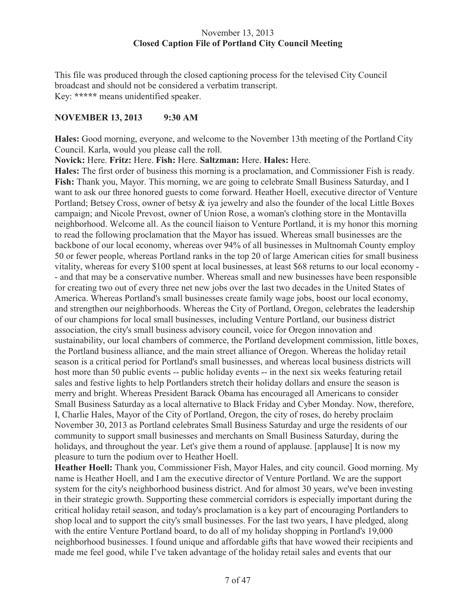## November 13, 2013 **Closed Caption File of Portland City Council Meeting**

This file was produced through the closed captioning process for the televised City Council broadcast and should not be considered a verbatim transcript. Key: **\*\*\*\*\*** means unidentified speaker.

#### **NOVEMBER 13, 2013 9:30 AM**

**Hales:** Good morning, everyone, and welcome to the November 13th meeting of the Portland City Council. Karla, would you please call the roll.

**Novick:** Here. **Fritz:** Here. **Fish:** Here. **Saltzman:** Here. **Hales:** Here.

**Hales:** The first order of business this morning is a proclamation, and Commissioner Fish is ready. **Fish:** Thank you, Mayor. This morning, we are going to celebrate Small Business Saturday, and I want to ask our three honored guests to come forward. Heather Hoell, executive director of Venture Portland; Betsey Cross, owner of betsy & iya jewelry and also the founder of the local Little Boxes campaign; and Nicole Prevost, owner of Union Rose, a woman's clothing store in the Montavilla neighborhood. Welcome all. As the council liaison to Venture Portland, it is my honor this morning to read the following proclamation that the Mayor has issued. Whereas small businesses are the backbone of our local economy, whereas over 94% of all businesses in Multnomah County employ 50 or fewer people, whereas Portland ranks in the top 20 of large American cities for small business vitality, whereas for every \$100 spent at local businesses, at least \$68 returns to our local economy - - and that may be a conservative number. Whereas small and new businesses have been responsible for creating two out of every three net new jobs over the last two decades in the United States of America. Whereas Portland's small businesses create family wage jobs, boost our local economy, and strengthen our neighborhoods. Whereas the City of Portland, Oregon, celebrates the leadership of our champions for local small businesses, including Venture Portland, our business district association, the city's small business advisory council, voice for Oregon innovation and sustainability, our local chambers of commerce, the Portland development commission, little boxes, the Portland business alliance, and the main street alliance of Oregon. Whereas the holiday retail season is a critical period for Portland's small businesses, and whereas local business districts will host more than 50 public events -- public holiday events -- in the next six weeks featuring retail sales and festive lights to help Portlanders stretch their holiday dollars and ensure the season is merry and bright. Whereas President Barack Obama has encouraged all Americans to consider Small Business Saturday as a local alternative to Black Friday and Cyber Monday. Now, therefore, I, Charlie Hales, Mayor of the City of Portland, Oregon, the city of roses, do hereby proclaim November 30, 2013 as Portland celebrates Small Business Saturday and urge the residents of our community to support small businesses and merchants on Small Business Saturday, during the holidays, and throughout the year. Let's give them a round of applause. [applause] It is now my pleasure to turn the podium over to Heather Hoell.

**Heather Hoell:** Thank you, Commissioner Fish, Mayor Hales, and city council. Good morning. My name is Heather Hoell, and I am the executive director of Venture Portland. We are the support system for the city's neighborhood business district. And for almost 30 years, we've been investing in their strategic growth. Supporting these commercial corridors is especially important during the critical holiday retail season, and today's proclamation is a key part of encouraging Portlanders to shop local and to support the city's small businesses. For the last two years, I have pledged, along with the entire Venture Portland board, to do all of my holiday shopping in Portland's 19,000 neighborhood businesses. I found unique and affordable gifts that have wowed their recipients and made me feel good, while I've taken advantage of the holiday retail sales and events that our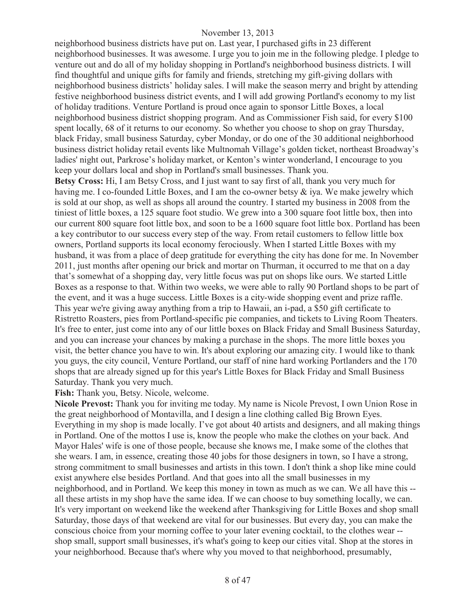neighborhood business districts have put on. Last year, I purchased gifts in 23 different neighborhood businesses. It was awesome. I urge you to join me in the following pledge. I pledge to venture out and do all of my holiday shopping in Portland's neighborhood business districts. I will find thoughtful and unique gifts for family and friends, stretching my gift-giving dollars with neighborhood business districts' holiday sales. I will make the season merry and bright by attending festive neighborhood business district events, and I will add growing Portland's economy to my list of holiday traditions. Venture Portland is proud once again to sponsor Little Boxes, a local neighborhood business district shopping program. And as Commissioner Fish said, for every \$100 spent locally, 68 of it returns to our economy. So whether you choose to shop on gray Thursday, black Friday, small business Saturday, cyber Monday, or do one of the 30 additional neighborhood business district holiday retail events like Multnomah Village's golden ticket, northeast Broadway's ladies' night out, Parkrose's holiday market, or Kenton's winter wonderland, I encourage to you keep your dollars local and shop in Portland's small businesses. Thank you.

**Betsy Cross:** Hi, I am Betsy Cross, and I just want to say first of all, thank you very much for having me. I co-founded Little Boxes, and I am the co-owner betsy & iya. We make jewelry which is sold at our shop, as well as shops all around the country. I started my business in 2008 from the tiniest of little boxes, a 125 square foot studio. We grew into a 300 square foot little box, then into our current 800 square foot little box, and soon to be a 1600 square foot little box. Portland has been a key contributor to our success every step of the way. From retail customers to fellow little box owners, Portland supports its local economy ferociously. When I started Little Boxes with my husband, it was from a place of deep gratitude for everything the city has done for me. In November 2011, just months after opening our brick and mortar on Thurman, it occurred to me that on a day that's somewhat of a shopping day, very little focus was put on shops like ours. We started Little Boxes as a response to that. Within two weeks, we were able to rally 90 Portland shops to be part of the event, and it was a huge success. Little Boxes is a city-wide shopping event and prize raffle. This year we're giving away anything from a trip to Hawaii, an i-pad, a \$50 gift certificate to Ristretto Roasters, pies from Portland-specific pie companies, and tickets to Living Room Theaters. It's free to enter, just come into any of our little boxes on Black Friday and Small Business Saturday, and you can increase your chances by making a purchase in the shops. The more little boxes you visit, the better chance you have to win. It's about exploring our amazing city. I would like to thank you guys, the city council, Venture Portland, our staff of nine hard working Portlanders and the 170 shops that are already signed up for this year's Little Boxes for Black Friday and Small Business Saturday. Thank you very much.

**Fish:** Thank you, Betsy. Nicole, welcome.

**Nicole Prevost:** Thank you for inviting me today. My name is Nicole Prevost, I own Union Rose in the great neighborhood of Montavilla, and I design a line clothing called Big Brown Eyes. Everything in my shop is made locally. I've got about 40 artists and designers, and all making things in Portland. One of the mottos I use is, know the people who make the clothes on your back. And Mayor Hales' wife is one of those people, because she knows me, I make some of the clothes that she wears. I am, in essence, creating those 40 jobs for those designers in town, so I have a strong, strong commitment to small businesses and artists in this town. I don't think a shop like mine could exist anywhere else besides Portland. And that goes into all the small businesses in my neighborhood, and in Portland. We keep this money in town as much as we can. We all have this - all these artists in my shop have the same idea. If we can choose to buy something locally, we can. It's very important on weekend like the weekend after Thanksgiving for Little Boxes and shop small Saturday, those days of that weekend are vital for our businesses. But every day, you can make the conscious choice from your morning coffee to your later evening cocktail, to the clothes wear - shop small, support small businesses, it's what's going to keep our cities vital. Shop at the stores in your neighborhood. Because that's where why you moved to that neighborhood, presumably,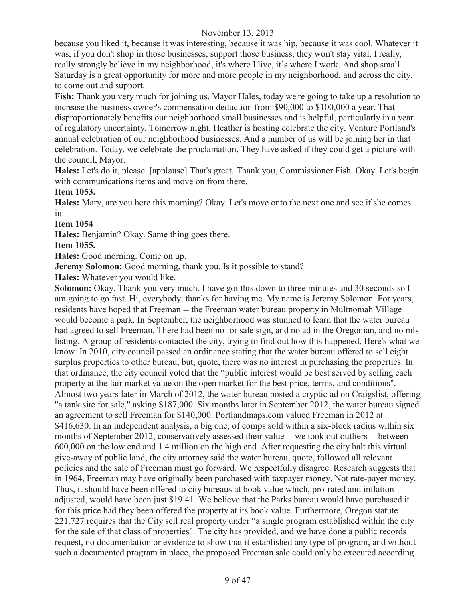because you liked it, because it was interesting, because it was hip, because it was cool. Whatever it was, if you don't shop in those businesses, support those business, they won't stay vital. I really, really strongly believe in my neighborhood, it's where I live, it's where I work. And shop small Saturday is a great opportunity for more and more people in my neighborhood, and across the city, to come out and support.

**Fish:** Thank you very much for joining us. Mayor Hales, today we're going to take up a resolution to increase the business owner's compensation deduction from \$90,000 to \$100,000 a year. That disproportionately benefits our neighborhood small businesses and is helpful, particularly in a year of regulatory uncertainty. Tomorrow night, Heather is hosting celebrate the city, Venture Portland's annual celebration of our neighborhood businesses. And a number of us will be joining her in that celebration. Today, we celebrate the proclamation. They have asked if they could get a picture with the council, Mayor.

**Hales:** Let's do it, please. [applause] That's great. Thank you, Commissioner Fish. Okay. Let's begin with communications items and move on from there.

## **Item 1053.**

**Hales:** Mary, are you here this morning? Okay. Let's move onto the next one and see if she comes in.

**Item 1054**

**Hales:** Benjamin? Okay. Same thing goes there.

**Item 1055.**

**Hales:** Good morning. Come on up.

**Jeremy Solomon:** Good morning, thank you. Is it possible to stand?

**Hales:** Whatever you would like.

**Solomon:** Okay. Thank you very much. I have got this down to three minutes and 30 seconds so I am going to go fast. Hi, everybody, thanks for having me. My name is Jeremy Solomon. For years, residents have hoped that Freeman -- the Freeman water bureau property in Multnomah Village would become a park. In September, the neighborhood was stunned to learn that the water bureau had agreed to sell Freeman. There had been no for sale sign, and no ad in the Oregonian, and no mls listing. A group of residents contacted the city, trying to find out how this happened. Here's what we know. In 2010, city council passed an ordinance stating that the water bureau offered to sell eight surplus properties to other bureau, but, quote, there was no interest in purchasing the properties. In that ordinance, the city council voted that the "public interest would be best served by selling each property at the fair market value on the open market for the best price, terms, and conditions". Almost two years later in March of 2012, the water bureau posted a cryptic ad on Craigslist, offering "a tank site for sale," asking \$187,000. Six months later in September 2012, the water bureau signed an agreement to sell Freeman for \$140,000. Portlandmaps.com valued Freeman in 2012 at \$416,630. In an independent analysis, a big one, of comps sold within a six-block radius within six months of September 2012, conservatively assessed their value -- we took out outliers -- between 600,000 on the low end and 1.4 million on the high end. After requesting the city halt this virtual give-away of public land, the city attorney said the water bureau, quote, followed all relevant policies and the sale of Freeman must go forward. We respectfully disagree. Research suggests that in 1964, Freeman may have originally been purchased with taxpayer money. Not rate-payer money. Thus, it should have been offered to city bureaus at book value which, pro-rated and inflation adjusted, would have been just \$19.41. We believe that the Parks bureau would have purchased it for this price had they been offered the property at its book value. Furthermore, Oregon statute 221.727 requires that the City sell real property under "a single program established within the city for the sale of that class of properties". The city has provided, and we have done a public records request, no documentation or evidence to show that it established any type of program, and without such a documented program in place, the proposed Freeman sale could only be executed according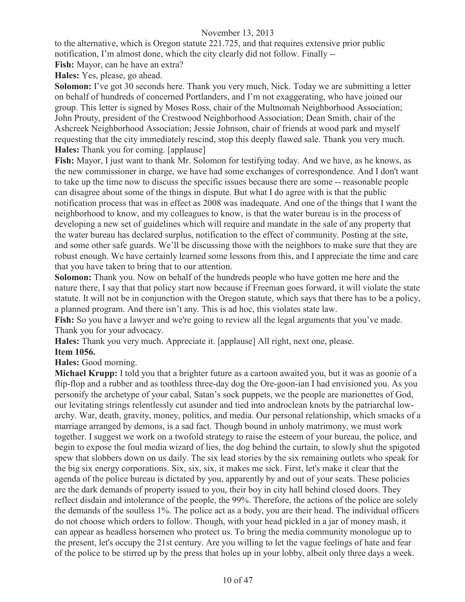to the alternative, which is Oregon statute 221.725, and that requires extensive prior public notification, I'm almost done, which the city clearly did not follow. Finally --

**Fish:** Mayor, can he have an extra?

**Hales:** Yes, please, go ahead.

**Solomon:** I've got 30 seconds here. Thank you very much, Nick. Today we are submitting a letter on behalf of hundreds of concerned Portlanders, and I'm not exaggerating, who have joined our group. This letter is signed by Moses Ross, chair of the Multnomah Neighborhood Association; John Prouty, president of the Crestwood Neighborhood Association; Dean Smith, chair of the Ashcreek Neighborhood Association; Jessie Johnson, chair of friends at wood park and myself requesting that the city immediately rescind, stop this deeply flawed sale. Thank you very much. **Hales:** Thank you for coming. [applause]

**Fish:** Mayor, I just want to thank Mr. Solomon for testifying today. And we have, as he knows, as the new commissioner in charge, we have had some exchanges of correspondence. And I don't want to take up the time now to discuss the specific issues because there are some -- reasonable people can disagree about some of the things in dispute. But what I do agree with is that the public notification process that was in effect as 2008 was inadequate. And one of the things that I want the neighborhood to know, and my colleagues to know, is that the water bureau is in the process of developing a new set of guidelines which will require and mandate in the sale of any property that the water bureau has declared surplus, notification to the effect of community. Posting at the site, and some other safe guards. We'll be discussing those with the neighbors to make sure that they are robust enough. We have certainly learned some lessons from this, and I appreciate the time and care that you have taken to bring that to our attention.

**Solomon:** Thank you. Now on behalf of the hundreds people who have gotten me here and the nature there, I say that that policy start now because if Freeman goes forward, it will violate the state statute. It will not be in conjunction with the Oregon statute, which says that there has to be a policy, a planned program. And there isn't any. This is ad hoc, this violates state law.

Fish: So you have a lawyer and we're going to review all the legal arguments that you've made. Thank you for your advocacy.

**Hales:** Thank you very much. Appreciate it. [applause] All right, next one, please.

#### **Item 1056.**

**Hales:** Good morning.

**Michael Krupp:** I told you that a brighter future as a cartoon awaited you, but it was as goonie of a flip-flop and a rubber and as toothless three-day dog the Ore-goon-ian I had envisioned you. As you personify the archetype of your cabal, Satan's sock puppets, we the people are marionettes of God, our levitating strings relentlessly cut asunder and tied into androclean knots by the patriarchal lowarchy. War, death, gravity, money, politics, and media. Our personal relationship, which smacks of a marriage arranged by demons, is a sad fact. Though bound in unholy matrimony, we must work together. I suggest we work on a twofold strategy to raise the esteem of your bureau, the police, and begin to expose the foul media wizard of lies, the dog behind the curtain, to slowly shut the spigoted spew that slobbers down on us daily. The six lead stories by the six remaining outlets who speak for the big six energy corporations. Six, six, six, it makes me sick. First, let's make it clear that the agenda of the police bureau is dictated by you, apparently by and out of your seats. These policies are the dark demands of property issued to you, their boy in city hall behind closed doors. They reflect disdain and intolerance of the people, the 99%. Therefore, the actions of the police are solely the demands of the soulless 1%. The police act as a body, you are their head. The individual officers do not choose which orders to follow. Though, with your head pickled in a jar of money mash, it can appear as headless horsemen who protect us. To bring the media community monologue up to the present, let's occupy the 21st century. Are you willing to let the vague feelings of hate and fear of the police to be stirred up by the press that holes up in your lobby, albeit only three days a week.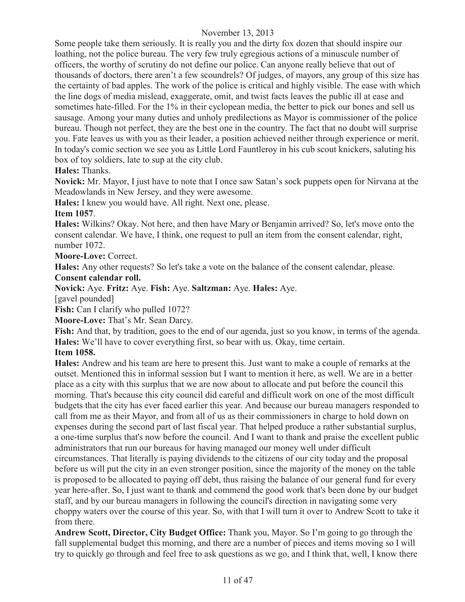Some people take them seriously. It is really you and the dirty fox dozen that should inspire our loathing, not the police bureau. The very few truly egregious actions of a minuscule number of officers, the worthy of scrutiny do not define our police. Can anyone really believe that out of thousands of doctors, there aren't a few scoundrels? Of judges, of mayors, any group of this size has the certainty of bad apples. The work of the police is critical and highly visible. The ease with which the line dogs of media mislead, exaggerate, omit, and twist facts leaves the public ill at ease and sometimes hate-filled. For the 1% in their cyclopean media, the better to pick our bones and sell us sausage. Among your many duties and unholy predilections as Mayor is commissioner of the police bureau. Though not perfect, they are the best one in the country. The fact that no doubt will surprise you. Fate leaves us with you as their leader, a position achieved neither through experience or merit. In today's comic section we see you as Little Lord Fauntleroy in his cub scout knickers, saluting his box of toy soldiers, late to sup at the city club.

**Hales:** Thanks.

**Novick:** Mr. Mayor, I just have to note that I once saw Satan's sock puppets open for Nirvana at the Meadowlands in New Jersey, and they were awesome.

**Hales:** I knew you would have. All right. Next one, please.

## **Item 1057**.

**Hales:** Wilkins? Okay. Not here, and then have Mary or Benjamin arrived? So, let's move onto the consent calendar. We have, I think, one request to pull an item from the consent calendar, right, number 1072.

**Moore-Love:** Correct.

**Hales:** Any other requests? So let's take a vote on the balance of the consent calendar, please.

#### **Consent calendar roll.**

**Novick:** Aye. **Fritz:** Aye. **Fish:** Aye. **Saltzman:** Aye. **Hales:** Aye.

[gavel pounded]

**Fish:** Can I clarify who pulled 1072?

**Moore-Love:** That's Mr. Sean Darcy.

**Fish:** And that, by tradition, goes to the end of our agenda, just so you know, in terms of the agenda. **Hales:** We'll have to cover everything first, so bear with us. Okay, time certain.

**Item 1058.**

**Hales:** Andrew and his team are here to present this. Just want to make a couple of remarks at the outset. Mentioned this in informal session but I want to mention it here, as well. We are in a better place as a city with this surplus that we are now about to allocate and put before the council this morning. That's because this city council did careful and difficult work on one of the most difficult budgets that the city has ever faced earlier this year. And because our bureau managers responded to call from me as their Mayor, and from all of us as their commissioners in charge to hold down on expenses during the second part of last fiscal year. That helped produce a rather substantial surplus, a one-time surplus that's now before the council. And I want to thank and praise the excellent public administrators that run our bureaus for having managed our money well under difficult circumstances. That literally is paying dividends to the citizens of our city today and the proposal before us will put the city in an even stronger position, since the majority of the money on the table is proposed to be allocated to paying off debt, thus raising the balance of our general fund for every year here-after. So, I just want to thank and commend the good work that's been done by our budget staff, and by our bureau managers in following the council's direction in navigating some very choppy waters over the course of this year. So, with that I will turn it over to Andrew Scott to take it from there.

**Andrew Scott, Director, City Budget Office:** Thank you, Mayor. So I'm going to go through the fall supplemental budget this morning, and there are a number of pieces and items moving so I will try to quickly go through and feel free to ask questions as we go, and I think that, well, I know there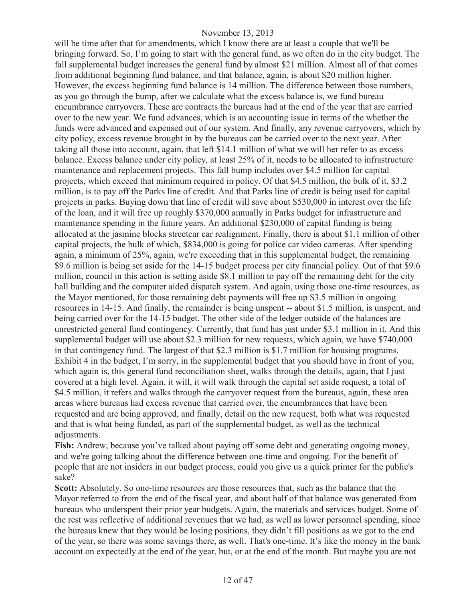will be time after that for amendments, which I know there are at least a couple that we'll be bringing forward. So, I'm going to start with the general fund, as we often do in the city budget. The fall supplemental budget increases the general fund by almost \$21 million. Almost all of that comes from additional beginning fund balance, and that balance, again, is about \$20 million higher. However, the excess beginning fund balance is 14 million. The difference between those numbers, as you go through the bump, after we calculate what the excess balance is, we fund bureau encumbrance carryovers. These are contracts the bureaus had at the end of the year that are carried over to the new year. We fund advances, which is an accounting issue in terms of the whether the funds were advanced and expensed out of our system. And finally, any revenue carryovers, which by city policy, excess revenue brought in by the bureaus can be carried over to the next year. After taking all those into account, again, that left \$14.1 million of what we will her refer to as excess balance. Excess balance under city policy, at least 25% of it, needs to be allocated to infrastructure maintenance and replacement projects. This fall bump includes over \$4.5 million for capital projects, which exceed that minimum required in policy. Of that \$4.5 million, the bulk of it, \$3.2 million, is to pay off the Parks line of credit. And that Parks line of credit is being used for capital projects in parks. Buying down that line of credit will save about \$530,000 in interest over the life of the loan, and it will free up roughly \$370,000 annually in Parks budget for infrastructure and maintenance spending in the future years. An additional \$230,000 of capital funding is being allocated at the jasmine blocks streetcar car realignment. Finally, there is about \$1.1 million of other capital projects, the bulk of which, \$834,000 is going for police car video cameras. After spending again, a minimum of 25%, again, we're exceeding that in this supplemental budget, the remaining \$9.6 million is being set aside for the 14-15 budget process per city financial policy. Out of that \$9.6 million, council in this action is setting aside \$8.1 million to pay off the remaining debt for the city hall building and the computer aided dispatch system. And again, using those one-time resources, as the Mayor mentioned, for those remaining debt payments will free up \$3.5 million in ongoing resources in 14-15. And finally, the remainder is being unspent -- about \$1.5 million, is unspent, and being carried over for the 14-15 budget. The other side of the ledger outside of the balances are unrestricted general fund contingency. Currently, that fund has just under \$3.1 million in it. And this supplemental budget will use about \$2.3 million for new requests, which again, we have \$740,000 in that contingency fund. The largest of that \$2.3 million is \$1.7 million for housing programs. Exhibit 4 in the budget, I'm sorry, in the supplemental budget that you should have in front of you, which again is, this general fund reconciliation sheet, walks through the details, again, that I just covered at a high level. Again, it will, it will walk through the capital set aside request, a total of \$4.5 million, it refers and walks through the carryover request from the bureaus, again, these area areas where bureaus had excess revenue that carried over, the encumbrances that have been requested and are being approved, and finally, detail on the new request, both what was requested and that is what being funded, as part of the supplemental budget, as well as the technical adjustments.

**Fish:** Andrew, because you've talked about paying off some debt and generating ongoing money, and we're going talking about the difference between one-time and ongoing. For the benefit of people that are not insiders in our budget process, could you give us a quick primer for the public's sake?

Scott: Absolutely. So one-time resources are those resources that, such as the balance that the Mayor referred to from the end of the fiscal year, and about half of that balance was generated from bureaus who underspent their prior year budgets. Again, the materials and services budget. Some of the rest was reflective of additional revenues that we had, as well as lower personnel spending, since the bureaus knew that they would be losing positions, they didn't fill positions as we got to the end of the year, so there was some savings there, as well. That's one-time. It's like the money in the bank account on expectedly at the end of the year, but, or at the end of the month. But maybe you are not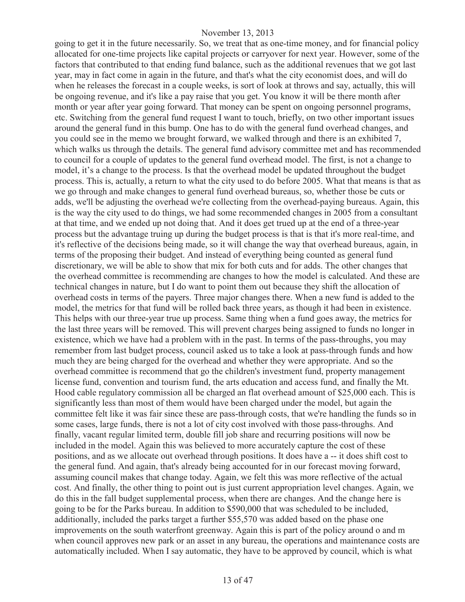going to get it in the future necessarily. So, we treat that as one-time money, and for financial policy allocated for one-time projects like capital projects or carryover for next year. However, some of the factors that contributed to that ending fund balance, such as the additional revenues that we got last year, may in fact come in again in the future, and that's what the city economist does, and will do when he releases the forecast in a couple weeks, is sort of look at throws and say, actually, this will be ongoing revenue, and it's like a pay raise that you get. You know it will be there month after month or year after year going forward. That money can be spent on ongoing personnel programs, etc. Switching from the general fund request I want to touch, briefly, on two other important issues around the general fund in this bump. One has to do with the general fund overhead changes, and you could see in the memo we brought forward, we walked through and there is an exhibited 7, which walks us through the details. The general fund advisory committee met and has recommended to council for a couple of updates to the general fund overhead model. The first, is not a change to model, it's a change to the process. Is that the overhead model be updated throughout the budget process. This is, actually, a return to what the city used to do before 2005. What that means is that as we go through and make changes to general fund overhead bureaus, so, whether those be cuts or adds, we'll be adjusting the overhead we're collecting from the overhead-paying bureaus. Again, this is the way the city used to do things, we had some recommended changes in 2005 from a consultant at that time, and we ended up not doing that. And it does get trued up at the end of a three-year process but the advantage truing up during the budget process is that is that it's more real-time, and it's reflective of the decisions being made, so it will change the way that overhead bureaus, again, in terms of the proposing their budget. And instead of everything being counted as general fund discretionary, we will be able to show that mix for both cuts and for adds. The other changes that the overhead committee is recommending are changes to how the model is calculated. And these are technical changes in nature, but I do want to point them out because they shift the allocation of overhead costs in terms of the payers. Three major changes there. When a new fund is added to the model, the metrics for that fund will be rolled back three years, as though it had been in existence. This helps with our three-year true up process. Same thing when a fund goes away, the metrics for the last three years will be removed. This will prevent charges being assigned to funds no longer in existence, which we have had a problem with in the past. In terms of the pass-throughs, you may remember from last budget process, council asked us to take a look at pass-through funds and how much they are being charged for the overhead and whether they were appropriate. And so the overhead committee is recommend that go the children's investment fund, property management license fund, convention and tourism fund, the arts education and access fund, and finally the Mt. Hood cable regulatory commission all be charged an flat overhead amount of \$25,000 each. This is significantly less than most of them would have been charged under the model, but again the committee felt like it was fair since these are pass-through costs, that we're handling the funds so in some cases, large funds, there is not a lot of city cost involved with those pass-throughs. And finally, vacant regular limited term, double fill job share and recurring positions will now be included in the model. Again this was believed to more accurately capture the cost of these positions, and as we allocate out overhead through positions. It does have a -- it does shift cost to the general fund. And again, that's already being accounted for in our forecast moving forward, assuming council makes that change today. Again, we felt this was more reflective of the actual cost. And finally, the other thing to point out is just current appropriation level changes. Again, we do this in the fall budget supplemental process, when there are changes. And the change here is going to be for the Parks bureau. In addition to \$590,000 that was scheduled to be included, additionally, included the parks target a further \$55,570 was added based on the phase one improvements on the south waterfront greenway. Again this is part of the policy around o and m when council approves new park or an asset in any bureau, the operations and maintenance costs are automatically included. When I say automatic, they have to be approved by council, which is what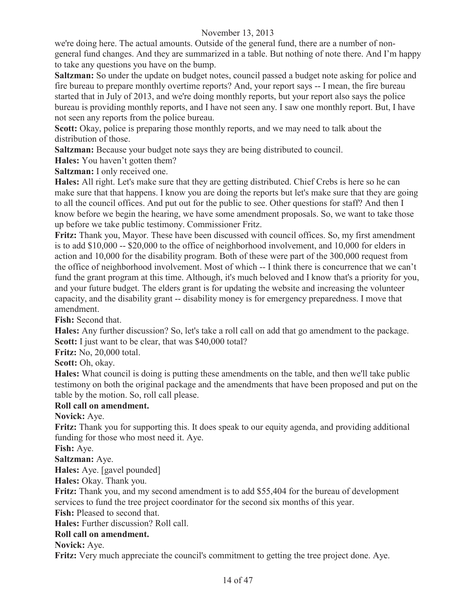we're doing here. The actual amounts. Outside of the general fund, there are a number of nongeneral fund changes. And they are summarized in a table. But nothing of note there. And I'm happy to take any questions you have on the bump.

**Saltzman:** So under the update on budget notes, council passed a budget note asking for police and fire bureau to prepare monthly overtime reports? And, your report says -- I mean, the fire bureau started that in July of 2013, and we're doing monthly reports, but your report also says the police bureau is providing monthly reports, and I have not seen any. I saw one monthly report. But, I have not seen any reports from the police bureau.

**Scott:** Okay, police is preparing those monthly reports, and we may need to talk about the distribution of those.

**Saltzman:** Because your budget note says they are being distributed to council.

**Hales:** You haven't gotten them?

**Saltzman:** I only received one.

**Hales:** All right. Let's make sure that they are getting distributed. Chief Crebs is here so he can make sure that that happens. I know you are doing the reports but let's make sure that they are going to all the council offices. And put out for the public to see. Other questions for staff? And then I know before we begin the hearing, we have some amendment proposals. So, we want to take those up before we take public testimony. Commissioner Fritz.

**Fritz:** Thank you, Mayor. These have been discussed with council offices. So, my first amendment is to add \$10,000 -- \$20,000 to the office of neighborhood involvement, and 10,000 for elders in action and 10,000 for the disability program. Both of these were part of the 300,000 request from the office of neighborhood involvement. Most of which -- I think there is concurrence that we can't fund the grant program at this time. Although, it's much beloved and I know that's a priority for you, and your future budget. The elders grant is for updating the website and increasing the volunteer capacity, and the disability grant -- disability money is for emergency preparedness. I move that amendment.

**Fish:** Second that.

**Hales:** Any further discussion? So, let's take a roll call on add that go amendment to the package. **Scott:** I just want to be clear, that was \$40,000 total?

**Fritz:** No, 20,000 total.

Scott: Oh, okay.

**Hales:** What council is doing is putting these amendments on the table, and then we'll take public testimony on both the original package and the amendments that have been proposed and put on the table by the motion. So, roll call please.

## **Roll call on amendment.**

**Novick:** Aye.

**Fritz:** Thank you for supporting this. It does speak to our equity agenda, and providing additional funding for those who most need it. Aye.

**Fish:** Aye.

**Saltzman:** Aye.

**Hales:** Aye. [gavel pounded]

**Hales:** Okay. Thank you.

**Fritz:** Thank you, and my second amendment is to add \$55,404 for the bureau of development services to fund the tree project coordinator for the second six months of this year.

**Fish:** Pleased to second that.

**Hales:** Further discussion? Roll call.

## **Roll call on amendment.**

**Novick:** Aye.

**Fritz:** Very much appreciate the council's commitment to getting the tree project done. Aye.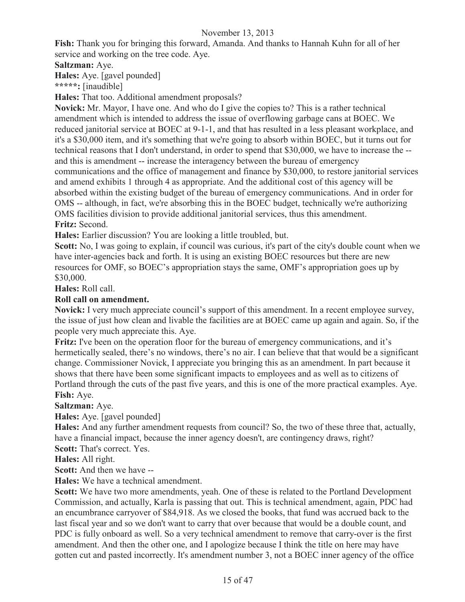**Fish:** Thank you for bringing this forward, Amanda. And thanks to Hannah Kuhn for all of her service and working on the tree code. Aye.

## **Saltzman:** Aye.

**Hales:** Aye. [gavel pounded]

**\*\*\*\*\*:** [inaudible]

**Hales:** That too. Additional amendment proposals?

**Novick:** Mr. Mayor, I have one. And who do I give the copies to? This is a rather technical amendment which is intended to address the issue of overflowing garbage cans at BOEC. We reduced janitorial service at BOEC at 9-1-1, and that has resulted in a less pleasant workplace, and it's a \$30,000 item, and it's something that we're going to absorb within BOEC, but it turns out for technical reasons that I don't understand, in order to spend that \$30,000, we have to increase the - and this is amendment -- increase the interagency between the bureau of emergency communications and the office of management and finance by \$30,000, to restore janitorial services and amend exhibits 1 through 4 as appropriate. And the additional cost of this agency will be absorbed within the existing budget of the bureau of emergency communications. And in order for OMS -- although, in fact, we're absorbing this in the BOEC budget, technically we're authorizing OMS facilities division to provide additional janitorial services, thus this amendment. **Fritz:** Second.

**Hales:** Earlier discussion? You are looking a little troubled, but.

**Scott:** No, I was going to explain, if council was curious, it's part of the city's double count when we have inter-agencies back and forth. It is using an existing BOEC resources but there are new resources for OMF, so BOEC's appropriation stays the same, OMF's appropriation goes up by \$30,000.

**Hales:** Roll call.

## **Roll call on amendment.**

**Novick:** I very much appreciate council's support of this amendment. In a recent employee survey, the issue of just how clean and livable the facilities are at BOEC came up again and again. So, if the people very much appreciate this. Aye.

**Fritz:** I've been on the operation floor for the bureau of emergency communications, and it's hermetically sealed, there's no windows, there's no air. I can believe that that would be a significant change. Commissioner Novick, I appreciate you bringing this as an amendment. In part because it shows that there have been some significant impacts to employees and as well as to citizens of Portland through the cuts of the past five years, and this is one of the more practical examples. Aye. **Fish:** Aye.

**Saltzman:** Aye.

**Hales:** Aye. [gavel pounded]

**Hales:** And any further amendment requests from council? So, the two of these three that, actually, have a financial impact, because the inner agency doesn't, are contingency draws, right?

**Scott:** That's correct. Yes.

**Hales:** All right.

**Scott:** And then we have --

**Hales:** We have a technical amendment.

Scott: We have two more amendments, yeah. One of these is related to the Portland Development Commission, and actually, Karla is passing that out. This is technical amendment, again, PDC had an encumbrance carryover of \$84,918. As we closed the books, that fund was accrued back to the last fiscal year and so we don't want to carry that over because that would be a double count, and PDC is fully onboard as well. So a very technical amendment to remove that carry-over is the first amendment. And then the other one, and I apologize because I think the title on here may have gotten cut and pasted incorrectly. It's amendment number 3, not a BOEC inner agency of the office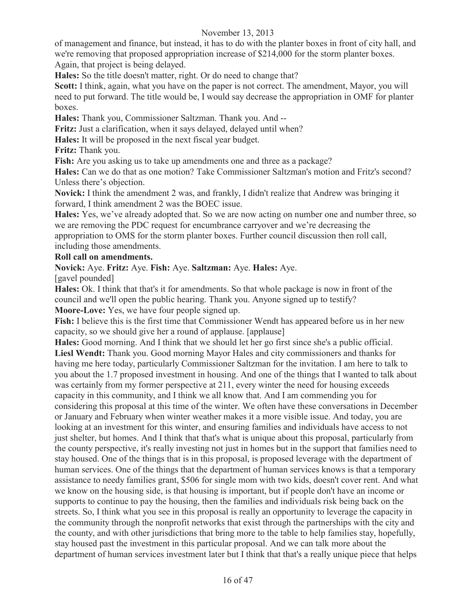of management and finance, but instead, it has to do with the planter boxes in front of city hall, and we're removing that proposed appropriation increase of \$214,000 for the storm planter boxes. Again, that project is being delayed.

**Hales:** So the title doesn't matter, right. Or do need to change that?

**Scott:** I think, again, what you have on the paper is not correct. The amendment, Mayor, you will need to put forward. The title would be, I would say decrease the appropriation in OMF for planter boxes.

**Hales:** Thank you, Commissioner Saltzman. Thank you. And --

**Fritz:** Just a clarification, when it says delayed, delayed until when?

**Hales:** It will be proposed in the next fiscal year budget.

**Fritz:** Thank you.

**Fish:** Are you asking us to take up amendments one and three as a package?

**Hales:** Can we do that as one motion? Take Commissioner Saltzman's motion and Fritz's second? Unless there's objection.

**Novick:** I think the amendment 2 was, and frankly, I didn't realize that Andrew was bringing it forward, I think amendment 2 was the BOEC issue.

**Hales:** Yes, we've already adopted that. So we are now acting on number one and number three, so we are removing the PDC request for encumbrance carryover and we're decreasing the appropriation to OMS for the storm planter boxes. Further council discussion then roll call, including those amendments.

## **Roll call on amendments.**

**Novick:** Aye. **Fritz:** Aye. **Fish:** Aye. **Saltzman:** Aye. **Hales:** Aye.

[gavel pounded]

**Hales:** Ok. I think that that's it for amendments. So that whole package is now in front of the council and we'll open the public hearing. Thank you. Anyone signed up to testify? **Moore-Love:** Yes, we have four people signed up.

**Fish:** I believe this is the first time that Commissioner Wendt has appeared before us in her new capacity, so we should give her a round of applause. [applause]

**Hales:** Good morning. And I think that we should let her go first since she's a public official. **Liesl Wendt:** Thank you. Good morning Mayor Hales and city commissioners and thanks for having me here today, particularly Commissioner Saltzman for the invitation. I am here to talk to you about the 1.7 proposed investment in housing. And one of the things that I wanted to talk about was certainly from my former perspective at 211, every winter the need for housing exceeds capacity in this community, and I think we all know that. And I am commending you for considering this proposal at this time of the winter. We often have these conversations in December or January and February when winter weather makes it a more visible issue. And today, you are looking at an investment for this winter, and ensuring families and individuals have access to not just shelter, but homes. And I think that that's what is unique about this proposal, particularly from the county perspective, it's really investing not just in homes but in the support that families need to stay housed. One of the things that is in this proposal, is proposed leverage with the department of human services. One of the things that the department of human services knows is that a temporary assistance to needy families grant, \$506 for single mom with two kids, doesn't cover rent. And what we know on the housing side, is that housing is important, but if people don't have an income or supports to continue to pay the housing, then the families and individuals risk being back on the streets. So, I think what you see in this proposal is really an opportunity to leverage the capacity in the community through the nonprofit networks that exist through the partnerships with the city and the county, and with other jurisdictions that bring more to the table to help families stay, hopefully, stay housed past the investment in this particular proposal. And we can talk more about the department of human services investment later but I think that that's a really unique piece that helps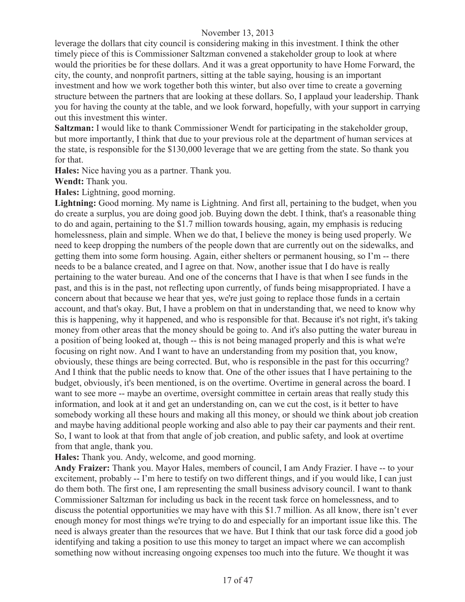leverage the dollars that city council is considering making in this investment. I think the other timely piece of this is Commissioner Saltzman convened a stakeholder group to look at where would the priorities be for these dollars. And it was a great opportunity to have Home Forward, the city, the county, and nonprofit partners, sitting at the table saying, housing is an important investment and how we work together both this winter, but also over time to create a governing structure between the partners that are looking at these dollars. So, I applaud your leadership. Thank you for having the county at the table, and we look forward, hopefully, with your support in carrying out this investment this winter.

**Saltzman:** I would like to thank Commissioner Wendt for participating in the stakeholder group, but more importantly, I think that due to your previous role at the department of human services at the state, is responsible for the \$130,000 leverage that we are getting from the state. So thank you for that.

**Hales:** Nice having you as a partner. Thank you.

**Wendt:** Thank you.

**Hales:** Lightning, good morning.

Lightning: Good morning. My name is Lightning. And first all, pertaining to the budget, when you do create a surplus, you are doing good job. Buying down the debt. I think, that's a reasonable thing to do and again, pertaining to the \$1.7 million towards housing, again, my emphasis is reducing homelessness, plain and simple. When we do that, I believe the money is being used properly. We need to keep dropping the numbers of the people down that are currently out on the sidewalks, and getting them into some form housing. Again, either shelters or permanent housing, so I'm -- there needs to be a balance created, and I agree on that. Now, another issue that I do have is really pertaining to the water bureau. And one of the concerns that I have is that when I see funds in the past, and this is in the past, not reflecting upon currently, of funds being misappropriated. I have a concern about that because we hear that yes, we're just going to replace those funds in a certain account, and that's okay. But, I have a problem on that in understanding that, we need to know why this is happening, why it happened, and who is responsible for that. Because it's not right, it's taking money from other areas that the money should be going to. And it's also putting the water bureau in a position of being looked at, though -- this is not being managed properly and this is what we're focusing on right now. And I want to have an understanding from my position that, you know, obviously, these things are being corrected. But, who is responsible in the past for this occurring? And I think that the public needs to know that. One of the other issues that I have pertaining to the budget, obviously, it's been mentioned, is on the overtime. Overtime in general across the board. I want to see more -- maybe an overtime, oversight committee in certain areas that really study this information, and look at it and get an understanding on, can we cut the cost, is it better to have somebody working all these hours and making all this money, or should we think about job creation and maybe having additional people working and also able to pay their car payments and their rent. So, I want to look at that from that angle of job creation, and public safety, and look at overtime from that angle, thank you.

**Hales:** Thank you. Andy, welcome, and good morning.

**Andy Fraizer:** Thank you. Mayor Hales, members of council, I am Andy Frazier. I have -- to your excitement, probably -- I'm here to testify on two different things, and if you would like, I can just do them both. The first one, I am representing the small business advisory council. I want to thank Commissioner Saltzman for including us back in the recent task force on homelessness, and to discuss the potential opportunities we may have with this \$1.7 million. As all know, there isn't ever enough money for most things we're trying to do and especially for an important issue like this. The need is always greater than the resources that we have. But I think that our task force did a good job identifying and taking a position to use this money to target an impact where we can accomplish something now without increasing ongoing expenses too much into the future. We thought it was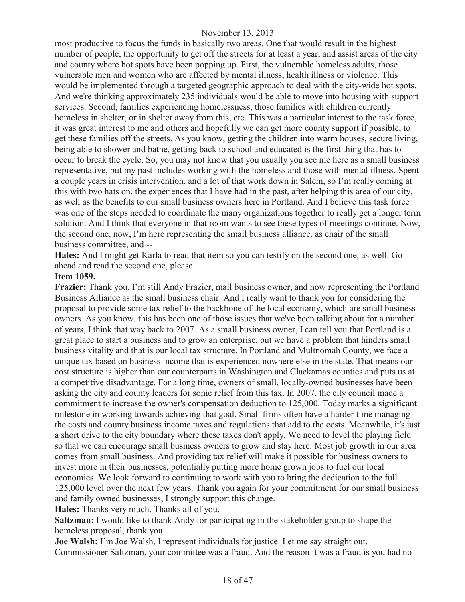most productive to focus the funds in basically two areas. One that would result in the highest number of people, the opportunity to get off the streets for at least a year, and assist areas of the city and county where hot spots have been popping up. First, the vulnerable homeless adults, those vulnerable men and women who are affected by mental illness, health illness or violence. This would be implemented through a targeted geographic approach to deal with the city-wide hot spots. And we're thinking approximately 235 individuals would be able to move into housing with support services. Second, families experiencing homelessness, those families with children currently homeless in shelter, or in shelter away from this, etc. This was a particular interest to the task force, it was great interest to me and others and hopefully we can get more county support if possible, to get these families off the streets. As you know, getting the children into warm houses, secure living, being able to shower and bathe, getting back to school and educated is the first thing that has to occur to break the cycle. So, you may not know that you usually you see me here as a small business representative, but my past includes working with the homeless and those with mental illness. Spent a couple years in crisis intervention, and a lot of that work down in Salem, so I'm really coming at this with two hats on, the experiences that I have had in the past, after helping this area of our city, as well as the benefits to our small business owners here in Portland. And I believe this task force was one of the steps needed to coordinate the many organizations together to really get a longer term solution. And I think that everyone in that room wants to see these types of meetings continue. Now, the second one, now, I'm here representing the small business alliance, as chair of the small business committee, and --

**Hales:** And I might get Karla to read that item so you can testify on the second one, as well. Go ahead and read the second one, please.

#### **Item 1059.**

**Frazier:** Thank you. I'm still Andy Frazier, mall business owner, and now representing the Portland Business Alliance as the small business chair. And I really want to thank you for considering the proposal to provide some tax relief to the backbone of the local economy, which are small business owners. As you know, this has been one of those issues that we've been talking about for a number of years, I think that way back to 2007. As a small business owner, I can tell you that Portland is a great place to start a business and to grow an enterprise, but we have a problem that hinders small business vitality and that is our local tax structure. In Portland and Multnomah County, we face a unique tax based on business income that is experienced nowhere else in the state. That means our cost structure is higher than our counterparts in Washington and Clackamas counties and puts us at a competitive disadvantage. For a long time, owners of small, locally-owned businesses have been asking the city and county leaders for some relief from this tax. In 2007, the city council made a commitment to increase the owner's compensation deduction to 125,000. Today marks a significant milestone in working towards achieving that goal. Small firms often have a harder time managing the costs and county business income taxes and regulations that add to the costs. Meanwhile, it's just a short drive to the city boundary where these taxes don't apply. We need to level the playing field so that we can encourage small business owners to grow and stay here. Most job growth in our area comes from small business. And providing tax relief will make it possible for business owners to invest more in their businesses, potentially putting more home grown jobs to fuel our local economies. We look forward to continuing to work with you to bring the dedication to the full 125,000 level over the next few years. Thank you again for your commitment for our small business and family owned businesses, I strongly support this change.

**Hales:** Thanks very much. Thanks all of you.

**Saltzman:** I would like to thank Andy for participating in the stakeholder group to shape the homeless proposal, thank you.

**Joe Walsh:** I'm Joe Walsh, I represent individuals for justice. Let me say straight out, Commissioner Saltzman, your committee was a fraud. And the reason it was a fraud is you had no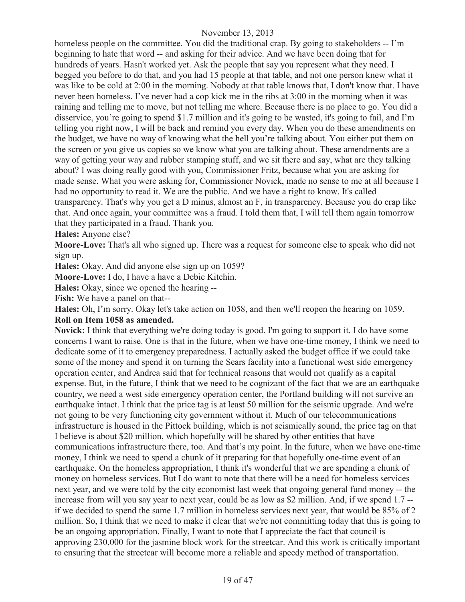homeless people on the committee. You did the traditional crap. By going to stakeholders -- I'm beginning to hate that word -- and asking for their advice. And we have been doing that for hundreds of years. Hasn't worked yet. Ask the people that say you represent what they need. I begged you before to do that, and you had 15 people at that table, and not one person knew what it was like to be cold at 2:00 in the morning. Nobody at that table knows that, I don't know that. I have never been homeless. I've never had a cop kick me in the ribs at 3:00 in the morning when it was raining and telling me to move, but not telling me where. Because there is no place to go. You did a disservice, you're going to spend \$1.7 million and it's going to be wasted, it's going to fail, and I'm telling you right now, I will be back and remind you every day. When you do these amendments on the budget, we have no way of knowing what the hell you're talking about. You either put them on the screen or you give us copies so we know what you are talking about. These amendments are a way of getting your way and rubber stamping stuff, and we sit there and say, what are they talking about? I was doing really good with you, Commissioner Fritz, because what you are asking for made sense. What you were asking for, Commissioner Novick, made no sense to me at all because I had no opportunity to read it. We are the public. And we have a right to know. It's called transparency. That's why you get a D minus, almost an F, in transparency. Because you do crap like that. And once again, your committee was a fraud. I told them that, I will tell them again tomorrow that they participated in a fraud. Thank you.

**Hales:** Anyone else?

**Moore-Love:** That's all who signed up. There was a request for someone else to speak who did not sign up.

**Hales:** Okay. And did anyone else sign up on 1059?

**Moore-Love:** I do, I have a have a Debie Kitchin.

**Hales:** Okay, since we opened the hearing --

**Fish:** We have a panel on that--

**Hales:** Oh, I'm sorry. Okay let's take action on 1058, and then we'll reopen the hearing on 1059.

## **Roll on Item 1058 as amended.**

**Novick:** I think that everything we're doing today is good. I'm going to support it. I do have some concerns I want to raise. One is that in the future, when we have one-time money, I think we need to dedicate some of it to emergency preparedness. I actually asked the budget office if we could take some of the money and spend it on turning the Sears facility into a functional west side emergency operation center, and Andrea said that for technical reasons that would not qualify as a capital expense. But, in the future, I think that we need to be cognizant of the fact that we are an earthquake country, we need a west side emergency operation center, the Portland building will not survive an earthquake intact. I think that the price tag is at least 50 million for the seismic upgrade. And we're not going to be very functioning city government without it. Much of our telecommunications infrastructure is housed in the Pittock building, which is not seismically sound, the price tag on that I believe is about \$20 million, which hopefully will be shared by other entities that have communications infrastructure there, too. And that's my point. In the future, when we have one-time money, I think we need to spend a chunk of it preparing for that hopefully one-time event of an earthquake. On the homeless appropriation, I think it's wonderful that we are spending a chunk of money on homeless services. But I do want to note that there will be a need for homeless services next year, and we were told by the city economist last week that ongoing general fund money -- the increase from will you say year to next year, could be as low as \$2 million. And, if we spend 1.7 - if we decided to spend the same 1.7 million in homeless services next year, that would be 85% of 2 million. So, I think that we need to make it clear that we're not committing today that this is going to be an ongoing appropriation. Finally, I want to note that I appreciate the fact that council is approving 230,000 for the jasmine block work for the streetcar. And this work is critically important to ensuring that the streetcar will become more a reliable and speedy method of transportation.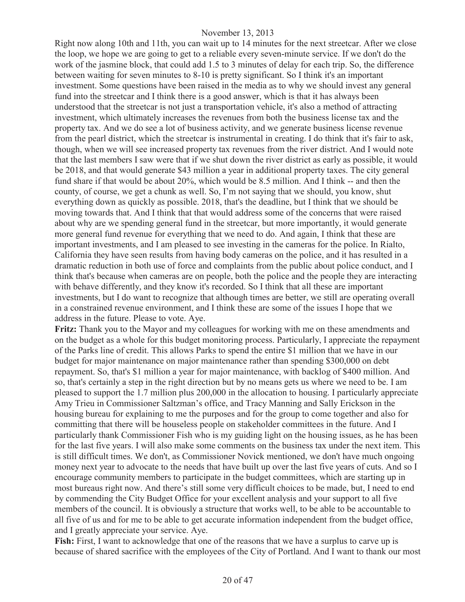Right now along 10th and 11th, you can wait up to 14 minutes for the next streetcar. After we close the loop, we hope we are going to get to a reliable every seven-minute service. If we don't do the work of the jasmine block, that could add 1.5 to 3 minutes of delay for each trip. So, the difference between waiting for seven minutes to 8-10 is pretty significant. So I think it's an important investment. Some questions have been raised in the media as to why we should invest any general fund into the streetcar and I think there is a good answer, which is that it has always been understood that the streetcar is not just a transportation vehicle, it's also a method of attracting investment, which ultimately increases the revenues from both the business license tax and the property tax. And we do see a lot of business activity, and we generate business license revenue from the pearl district, which the streetcar is instrumental in creating. I do think that it's fair to ask, though, when we will see increased property tax revenues from the river district. And I would note that the last members I saw were that if we shut down the river district as early as possible, it would be 2018, and that would generate \$43 million a year in additional property taxes. The city general fund share if that would be about 20%, which would be 8.5 million. And I think -- and then the county, of course, we get a chunk as well. So, I'm not saying that we should, you know, shut everything down as quickly as possible. 2018, that's the deadline, but I think that we should be moving towards that. And I think that that would address some of the concerns that were raised about why are we spending general fund in the streetcar, but more importantly, it would generate more general fund revenue for everything that we need to do. And again, I think that these are important investments, and I am pleased to see investing in the cameras for the police. In Rialto, California they have seen results from having body cameras on the police, and it has resulted in a dramatic reduction in both use of force and complaints from the public about police conduct, and I think that's because when cameras are on people, both the police and the people they are interacting with behave differently, and they know it's recorded. So I think that all these are important investments, but I do want to recognize that although times are better, we still are operating overall in a constrained revenue environment, and I think these are some of the issues I hope that we address in the future. Please to vote. Aye.

**Fritz:** Thank you to the Mayor and my colleagues for working with me on these amendments and on the budget as a whole for this budget monitoring process. Particularly, I appreciate the repayment of the Parks line of credit. This allows Parks to spend the entire \$1 million that we have in our budget for major maintenance on major maintenance rather than spending \$300,000 on debt repayment. So, that's \$1 million a year for major maintenance, with backlog of \$400 million. And so, that's certainly a step in the right direction but by no means gets us where we need to be. I am pleased to support the 1.7 million plus 200,000 in the allocation to housing. I particularly appreciate Amy Trieu in Commissioner Saltzman's office, and Tracy Manning and Sally Erickson in the housing bureau for explaining to me the purposes and for the group to come together and also for committing that there will be houseless people on stakeholder committees in the future. And I particularly thank Commissioner Fish who is my guiding light on the housing issues, as he has been for the last five years. I will also make some comments on the business tax under the next item. This is still difficult times. We don't, as Commissioner Novick mentioned, we don't have much ongoing money next year to advocate to the needs that have built up over the last five years of cuts. And so I encourage community members to participate in the budget committees, which are starting up in most bureaus right now. And there's still some very difficult choices to be made, but, I need to end by commending the City Budget Office for your excellent analysis and your support to all five members of the council. It is obviously a structure that works well, to be able to be accountable to all five of us and for me to be able to get accurate information independent from the budget office, and I greatly appreciate your service. Aye.

**Fish:** First, I want to acknowledge that one of the reasons that we have a surplus to carve up is because of shared sacrifice with the employees of the City of Portland. And I want to thank our most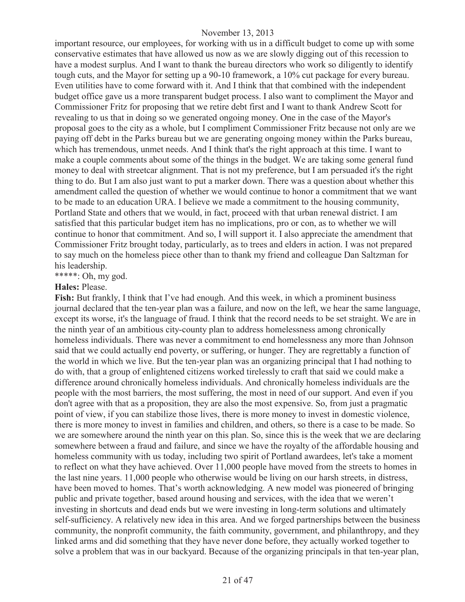important resource, our employees, for working with us in a difficult budget to come up with some conservative estimates that have allowed us now as we are slowly digging out of this recession to have a modest surplus. And I want to thank the bureau directors who work so diligently to identify tough cuts, and the Mayor for setting up a 90-10 framework, a 10% cut package for every bureau. Even utilities have to come forward with it. And I think that that combined with the independent budget office gave us a more transparent budget process. I also want to compliment the Mayor and Commissioner Fritz for proposing that we retire debt first and I want to thank Andrew Scott for revealing to us that in doing so we generated ongoing money. One in the case of the Mayor's proposal goes to the city as a whole, but I compliment Commissioner Fritz because not only are we paying off debt in the Parks bureau but we are generating ongoing money within the Parks bureau, which has tremendous, unmet needs. And I think that's the right approach at this time. I want to make a couple comments about some of the things in the budget. We are taking some general fund money to deal with streetcar alignment. That is not my preference, but I am persuaded it's the right thing to do. But I am also just want to put a marker down. There was a question about whether this amendment called the question of whether we would continue to honor a commitment that we want to be made to an education URA. I believe we made a commitment to the housing community, Portland State and others that we would, in fact, proceed with that urban renewal district. I am satisfied that this particular budget item has no implications, pro or con, as to whether we will continue to honor that commitment. And so, I will support it. I also appreciate the amendment that Commissioner Fritz brought today, particularly, as to trees and elders in action. I was not prepared to say much on the homeless piece other than to thank my friend and colleague Dan Saltzman for his leadership.

\*\*\*\*\*: Oh, my god.

#### **Hales:** Please.

Fish: But frankly, I think that I've had enough. And this week, in which a prominent business journal declared that the ten-year plan was a failure, and now on the left, we hear the same language, except its worse, it's the language of fraud. I think that the record needs to be set straight. We are in the ninth year of an ambitious city-county plan to address homelessness among chronically homeless individuals. There was never a commitment to end homelessness any more than Johnson said that we could actually end poverty, or suffering, or hunger. They are regrettably a function of the world in which we live. But the ten-year plan was an organizing principal that I had nothing to do with, that a group of enlightened citizens worked tirelessly to craft that said we could make a difference around chronically homeless individuals. And chronically homeless individuals are the people with the most barriers, the most suffering, the most in need of our support. And even if you don't agree with that as a proposition, they are also the most expensive. So, from just a pragmatic point of view, if you can stabilize those lives, there is more money to invest in domestic violence, there is more money to invest in families and children, and others, so there is a case to be made. So we are somewhere around the ninth year on this plan. So, since this is the week that we are declaring somewhere between a fraud and failure, and since we have the royalty of the affordable housing and homeless community with us today, including two spirit of Portland awardees, let's take a moment to reflect on what they have achieved. Over 11,000 people have moved from the streets to homes in the last nine years. 11,000 people who otherwise would be living on our harsh streets, in distress, have been moved to homes. That's worth acknowledging. A new model was pioneered of bringing public and private together, based around housing and services, with the idea that we weren't investing in shortcuts and dead ends but we were investing in long-term solutions and ultimately self-sufficiency. A relatively new idea in this area. And we forged partnerships between the business community, the nonprofit community, the faith community, government, and philanthropy, and they linked arms and did something that they have never done before, they actually worked together to solve a problem that was in our backyard. Because of the organizing principals in that ten-year plan,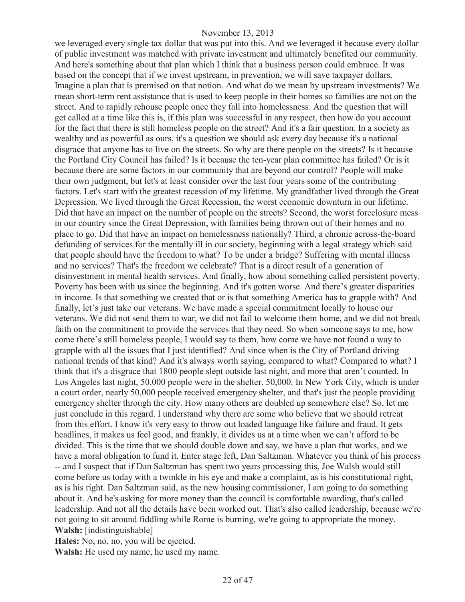we leveraged every single tax dollar that was put into this. And we leveraged it because every dollar of public investment was matched with private investment and ultimately benefited our community. And here's something about that plan which I think that a business person could embrace. It was based on the concept that if we invest upstream, in prevention, we will save taxpayer dollars. Imagine a plan that is premised on that notion. And what do we mean by upstream investments? We mean short-term rent assistance that is used to keep people in their homes so families are not on the street. And to rapidly rehouse people once they fall into homelessness. And the question that will get called at a time like this is, if this plan was successful in any respect, then how do you account for the fact that there is still homeless people on the street? And it's a fair question. In a society as wealthy and as powerful as ours, it's a question we should ask every day because it's a national disgrace that anyone has to live on the streets. So why are there people on the streets? Is it because the Portland City Council has failed? Is it because the ten-year plan committee has failed? Or is it because there are some factors in our community that are beyond our control? People will make their own judgment, but let's at least consider over the last four years some of the contributing factors. Let's start with the greatest recession of my lifetime. My grandfather lived through the Great Depression. We lived through the Great Recession, the worst economic downturn in our lifetime. Did that have an impact on the number of people on the streets? Second, the worst foreclosure mess in our country since the Great Depression, with families being thrown out of their homes and no place to go. Did that have an impact on homelessness nationally? Third, a chronic across-the-board defunding of services for the mentally ill in our society, beginning with a legal strategy which said that people should have the freedom to what? To be under a bridge? Suffering with mental illness and no services? That's the freedom we celebrate? That is a direct result of a generation of disinvestment in mental health services. And finally, how about something called persistent poverty. Poverty has been with us since the beginning. And it's gotten worse. And there's greater disparities in income. Is that something we created that or is that something America has to grapple with? And finally, let's just take our veterans. We have made a special commitment locally to house our veterans. We did not send them to war, we did not fail to welcome them home, and we did not break faith on the commitment to provide the services that they need. So when someone says to me, how come there's still homeless people, I would say to them, how come we have not found a way to grapple with all the issues that I just identified? And since when is the City of Portland driving national trends of that kind? And it's always worth saying, compared to what? Compared to what? I think that it's a disgrace that 1800 people slept outside last night, and more that aren't counted. In Los Angeles last night, 50,000 people were in the shelter. 50,000. In New York City, which is under a court order, nearly 50,000 people received emergency shelter, and that's just the people providing emergency shelter through the city. How many others are doubled up somewhere else? So, let me just conclude in this regard. I understand why there are some who believe that we should retreat from this effort. I know it's very easy to throw out loaded language like failure and fraud. It gets headlines, it makes us feel good, and frankly, it divides us at a time when we can't afford to be divided. This is the time that we should double down and say, we have a plan that works, and we have a moral obligation to fund it. Enter stage left, Dan Saltzman. Whatever you think of his process -- and I suspect that if Dan Saltzman has spent two years processing this, Joe Walsh would still come before us today with a twinkle in his eye and make a complaint, as is his constitutional right, as is his right. Dan Saltzman said, as the new housing commissioner, I am going to do something about it. And he's asking for more money than the council is comfortable awarding, that's called leadership. And not all the details have been worked out. That's also called leadership, because we're not going to sit around fiddling while Rome is burning, we're going to appropriate the money. **Walsh:** [indistinguishable]

**Hales:** No, no, no, you will be ejected.

**Walsh:** He used my name, he used my name.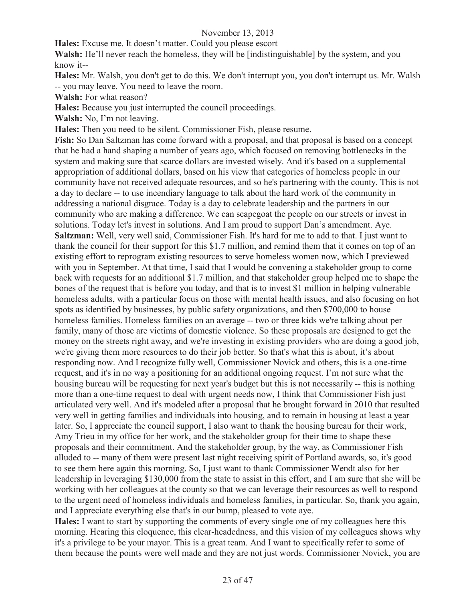**Hales:** Excuse me. It doesn't matter. Could you please escort—

Walsh: He'll never reach the homeless, they will be [indistinguishable] by the system, and you know it--

**Hales:** Mr. Walsh, you don't get to do this. We don't interrupt you, you don't interrupt us. Mr. Walsh -- you may leave. You need to leave the room.

**Walsh:** For what reason?

**Hales:** Because you just interrupted the council proceedings.

**Walsh:** No, I'm not leaving.

**Hales:** Then you need to be silent. Commissioner Fish, please resume.

**Fish:** So Dan Saltzman has come forward with a proposal, and that proposal is based on a concept that he had a hand shaping a number of years ago, which focused on removing bottlenecks in the system and making sure that scarce dollars are invested wisely. And it's based on a supplemental appropriation of additional dollars, based on his view that categories of homeless people in our community have not received adequate resources, and so he's partnering with the county. This is not a day to declare -- to use incendiary language to talk about the hard work of the community in addressing a national disgrace. Today is a day to celebrate leadership and the partners in our community who are making a difference. We can scapegoat the people on our streets or invest in solutions. Today let's invest in solutions. And I am proud to support Dan's amendment. Aye. **Saltzman:** Well, very well said, Commissioner Fish. It's hard for me to add to that. I just want to thank the council for their support for this \$1.7 million, and remind them that it comes on top of an existing effort to reprogram existing resources to serve homeless women now, which I previewed with you in September. At that time, I said that I would be convening a stakeholder group to come back with requests for an additional \$1.7 million, and that stakeholder group helped me to shape the bones of the request that is before you today, and that is to invest \$1 million in helping vulnerable homeless adults, with a particular focus on those with mental health issues, and also focusing on hot spots as identified by businesses, by public safety organizations, and then \$700,000 to house homeless families. Homeless families on an average -- two or three kids we're talking about per family, many of those are victims of domestic violence. So these proposals are designed to get the money on the streets right away, and we're investing in existing providers who are doing a good job, we're giving them more resources to do their job better. So that's what this is about, it's about responding now. And I recognize fully well, Commissioner Novick and others, this is a one-time request, and it's in no way a positioning for an additional ongoing request. I'm not sure what the housing bureau will be requesting for next year's budget but this is not necessarily -- this is nothing more than a one-time request to deal with urgent needs now, I think that Commissioner Fish just articulated very well. And it's modeled after a proposal that he brought forward in 2010 that resulted very well in getting families and individuals into housing, and to remain in housing at least a year later. So, I appreciate the council support, I also want to thank the housing bureau for their work, Amy Trieu in my office for her work, and the stakeholder group for their time to shape these proposals and their commitment. And the stakeholder group, by the way, as Commissioner Fish alluded to -- many of them were present last night receiving spirit of Portland awards, so, it's good to see them here again this morning. So, I just want to thank Commissioner Wendt also for her leadership in leveraging \$130,000 from the state to assist in this effort, and I am sure that she will be working with her colleagues at the county so that we can leverage their resources as well to respond to the urgent need of homeless individuals and homeless families, in particular. So, thank you again, and I appreciate everything else that's in our bump, pleased to vote aye.

**Hales:** I want to start by supporting the comments of every single one of my colleagues here this morning. Hearing this eloquence, this clear-headedness, and this vision of my colleagues shows why it's a privilege to be your mayor. This is a great team. And I want to specifically refer to some of them because the points were well made and they are not just words. Commissioner Novick, you are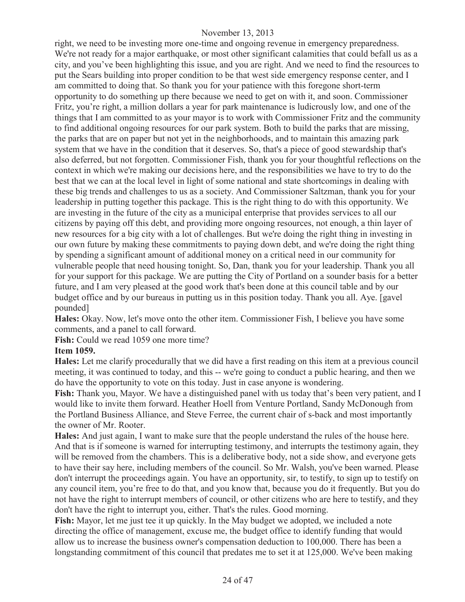right, we need to be investing more one-time and ongoing revenue in emergency preparedness. We're not ready for a major earthquake, or most other significant calamities that could befall us as a city, and you've been highlighting this issue, and you are right. And we need to find the resources to put the Sears building into proper condition to be that west side emergency response center, and I am committed to doing that. So thank you for your patience with this foregone short-term opportunity to do something up there because we need to get on with it, and soon. Commissioner Fritz, you're right, a million dollars a year for park maintenance is ludicrously low, and one of the things that I am committed to as your mayor is to work with Commissioner Fritz and the community to find additional ongoing resources for our park system. Both to build the parks that are missing, the parks that are on paper but not yet in the neighborhoods, and to maintain this amazing park system that we have in the condition that it deserves. So, that's a piece of good stewardship that's also deferred, but not forgotten. Commissioner Fish, thank you for your thoughtful reflections on the context in which we're making our decisions here, and the responsibilities we have to try to do the best that we can at the local level in light of some national and state shortcomings in dealing with these big trends and challenges to us as a society. And Commissioner Saltzman, thank you for your leadership in putting together this package. This is the right thing to do with this opportunity. We are investing in the future of the city as a municipal enterprise that provides services to all our citizens by paying off this debt, and providing more ongoing resources, not enough, a thin layer of new resources for a big city with a lot of challenges. But we're doing the right thing in investing in our own future by making these commitments to paying down debt, and we're doing the right thing by spending a significant amount of additional money on a critical need in our community for vulnerable people that need housing tonight. So, Dan, thank you for your leadership. Thank you all for your support for this package. We are putting the City of Portland on a sounder basis for a better future, and I am very pleased at the good work that's been done at this council table and by our budget office and by our bureaus in putting us in this position today. Thank you all. Aye. [gavel pounded]

**Hales:** Okay. Now, let's move onto the other item. Commissioner Fish, I believe you have some comments, and a panel to call forward.

**Fish:** Could we read 1059 one more time?

#### **Item 1059.**

**Hales:** Let me clarify procedurally that we did have a first reading on this item at a previous council meeting, it was continued to today, and this -- we're going to conduct a public hearing, and then we do have the opportunity to vote on this today. Just in case anyone is wondering.

**Fish:** Thank you, Mayor. We have a distinguished panel with us today that's been very patient, and I would like to invite them forward. Heather Hoell from Venture Portland, Sandy McDonough from the Portland Business Alliance, and Steve Ferree, the current chair of s-back and most importantly the owner of Mr. Rooter.

**Hales:** And just again, I want to make sure that the people understand the rules of the house here. And that is if someone is warned for interrupting testimony, and interrupts the testimony again, they will be removed from the chambers. This is a deliberative body, not a side show, and everyone gets to have their say here, including members of the council. So Mr. Walsh, you've been warned. Please don't interrupt the proceedings again. You have an opportunity, sir, to testify, to sign up to testify on any council item, you're free to do that, and you know that, because you do it frequently. But you do not have the right to interrupt members of council, or other citizens who are here to testify, and they don't have the right to interrupt you, either. That's the rules. Good morning.

**Fish:** Mayor, let me just tee it up quickly. In the May budget we adopted, we included a note directing the office of management, excuse me, the budget office to identify funding that would allow us to increase the business owner's compensation deduction to 100,000. There has been a longstanding commitment of this council that predates me to set it at 125,000. We've been making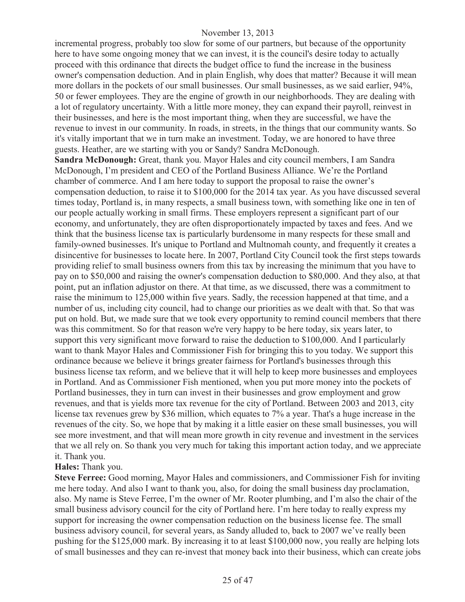incremental progress, probably too slow for some of our partners, but because of the opportunity here to have some ongoing money that we can invest, it is the council's desire today to actually proceed with this ordinance that directs the budget office to fund the increase in the business owner's compensation deduction. And in plain English, why does that matter? Because it will mean more dollars in the pockets of our small businesses. Our small businesses, as we said earlier, 94%, 50 or fewer employees. They are the engine of growth in our neighborhoods. They are dealing with a lot of regulatory uncertainty. With a little more money, they can expand their payroll, reinvest in their businesses, and here is the most important thing, when they are successful, we have the revenue to invest in our community. In roads, in streets, in the things that our community wants. So it's vitally important that we in turn make an investment. Today, we are honored to have three guests. Heather, are we starting with you or Sandy? Sandra McDonough.

**Sandra McDonough:** Great, thank you. Mayor Hales and city council members, I am Sandra McDonough, I'm president and CEO of the Portland Business Alliance. We're the Portland chamber of commerce. And I am here today to support the proposal to raise the owner's compensation deduction, to raise it to \$100,000 for the 2014 tax year. As you have discussed several times today, Portland is, in many respects, a small business town, with something like one in ten of our people actually working in small firms. These employers represent a significant part of our economy, and unfortunately, they are often disproportionately impacted by taxes and fees. And we think that the business license tax is particularly burdensome in many respects for these small and family-owned businesses. It's unique to Portland and Multnomah county, and frequently it creates a disincentive for businesses to locate here. In 2007, Portland City Council took the first steps towards providing relief to small business owners from this tax by increasing the minimum that you have to pay on to \$50,000 and raising the owner's compensation deduction to \$80,000. And they also, at that point, put an inflation adjustor on there. At that time, as we discussed, there was a commitment to raise the minimum to 125,000 within five years. Sadly, the recession happened at that time, and a number of us, including city council, had to change our priorities as we dealt with that. So that was put on hold. But, we made sure that we took every opportunity to remind council members that there was this commitment. So for that reason we're very happy to be here today, six years later, to support this very significant move forward to raise the deduction to \$100,000. And I particularly want to thank Mayor Hales and Commissioner Fish for bringing this to you today. We support this ordinance because we believe it brings greater fairness for Portland's businesses through this business license tax reform, and we believe that it will help to keep more businesses and employees in Portland. And as Commissioner Fish mentioned, when you put more money into the pockets of Portland businesses, they in turn can invest in their businesses and grow employment and grow revenues, and that is yields more tax revenue for the city of Portland. Between 2003 and 2013, city license tax revenues grew by \$36 million, which equates to 7% a year. That's a huge increase in the revenues of the city. So, we hope that by making it a little easier on these small businesses, you will see more investment, and that will mean more growth in city revenue and investment in the services that we all rely on. So thank you very much for taking this important action today, and we appreciate it. Thank you.

#### **Hales:** Thank you.

**Steve Ferree:** Good morning, Mayor Hales and commissioners, and Commissioner Fish for inviting me here today. And also I want to thank you, also, for doing the small business day proclamation, also. My name is Steve Ferree, I'm the owner of Mr. Rooter plumbing, and I'm also the chair of the small business advisory council for the city of Portland here. I'm here today to really express my support for increasing the owner compensation reduction on the business license fee. The small business advisory council, for several years, as Sandy alluded to, back to 2007 we've really been pushing for the \$125,000 mark. By increasing it to at least \$100,000 now, you really are helping lots of small businesses and they can re-invest that money back into their business, which can create jobs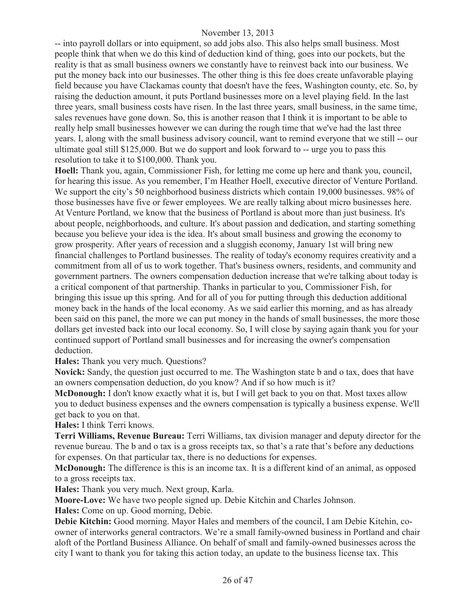-- into payroll dollars or into equipment, so add jobs also. This also helps small business. Most people think that when we do this kind of deduction kind of thing, goes into our pockets, but the reality is that as small business owners we constantly have to reinvest back into our business. We put the money back into our businesses. The other thing is this fee does create unfavorable playing field because you have Clackamas county that doesn't have the fees, Washington county, etc. So, by raising the deduction amount, it puts Portland businesses more on a level playing field. In the last three years, small business costs have risen. In the last three years, small business, in the same time, sales revenues have gone down. So, this is another reason that I think it is important to be able to really help small businesses however we can during the rough time that we've had the last three years. I, along with the small business advisory council, want to remind everyone that we still -- our ultimate goal still \$125,000. But we do support and look forward to -- urge you to pass this resolution to take it to \$100,000. Thank you.

**Hoell:** Thank you, again, Commissioner Fish, for letting me come up here and thank you, council, for hearing this issue. As you remember, I'm Heather Hoell, executive director of Venture Portland. We support the city's 50 neighborhood business districts which contain 19,000 businesses. 98% of those businesses have five or fewer employees. We are really talking about micro businesses here. At Venture Portland, we know that the business of Portland is about more than just business. It's about people, neighborhoods, and culture. It's about passion and dedication, and starting something because you believe your idea is the idea. It's about small business and growing the economy to grow prosperity. After years of recession and a sluggish economy, January 1st will bring new financial challenges to Portland businesses. The reality of today's economy requires creativity and a commitment from all of us to work together. That's business owners, residents, and community and government partners. The owners compensation deduction increase that we're talking about today is a critical component of that partnership. Thanks in particular to you, Commissioner Fish, for bringing this issue up this spring. And for all of you for putting through this deduction additional money back in the hands of the local economy. As we said earlier this morning, and as has already been said on this panel, the more we can put money in the hands of small businesses, the more those dollars get invested back into our local economy. So, I will close by saying again thank you for your continued support of Portland small businesses and for increasing the owner's compensation deduction.

#### **Hales:** Thank you very much. Questions?

**Novick:** Sandy, the question just occurred to me. The Washington state b and o tax, does that have an owners compensation deduction, do you know? And if so how much is it?

**McDonough:** I don't know exactly what it is, but I will get back to you on that. Most taxes allow you to deduct business expenses and the owners compensation is typically a business expense. We'll get back to you on that.

**Hales:** I think Terri knows.

**Terri Williams, Revenue Bureau:** Terri Williams, tax division manager and deputy director for the revenue bureau. The b and o tax is a gross receipts tax, so that's a rate that's before any deductions for expenses. On that particular tax, there is no deductions for expenses.

**McDonough:** The difference is this is an income tax. It is a different kind of an animal, as opposed to a gross receipts tax.

**Hales:** Thank you very much. Next group, Karla.

**Moore-Love:** We have two people signed up. Debie Kitchin and Charles Johnson.

**Hales:** Come on up. Good morning, Debie.

**Debie Kitchin:** Good morning. Mayor Hales and members of the council, I am Debie Kitchin, coowner of interworks general contractors. We're a small family-owned business in Portland and chair aloft of the Portland Business Alliance. On behalf of small and family-owned businesses across the city I want to thank you for taking this action today, an update to the business license tax. This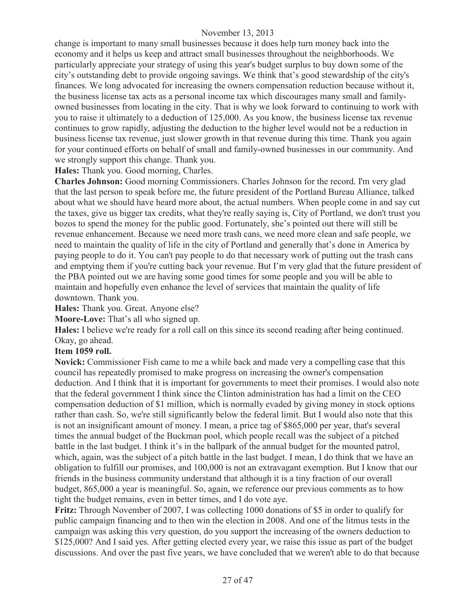change is important to many small businesses because it does help turn money back into the economy and it helps us keep and attract small businesses throughout the neighborhoods. We particularly appreciate your strategy of using this year's budget surplus to buy down some of the city's outstanding debt to provide ongoing savings. We think that's good stewardship of the city's finances. We long advocated for increasing the owners compensation reduction because without it, the business license tax acts as a personal income tax which discourages many small and familyowned businesses from locating in the city. That is why we look forward to continuing to work with you to raise it ultimately to a deduction of 125,000. As you know, the business license tax revenue continues to grow rapidly, adjusting the deduction to the higher level would not be a reduction in business license tax revenue, just slower growth in that revenue during this time. Thank you again for your continued efforts on behalf of small and family-owned businesses in our community. And we strongly support this change. Thank you.

**Hales:** Thank you. Good morning, Charles.

**Charles Johnson:** Good morning Commissioners. Charles Johnson for the record. I'm very glad that the last person to speak before me, the future president of the Portland Bureau Alliance, talked about what we should have heard more about, the actual numbers. When people come in and say cut the taxes, give us bigger tax credits, what they're really saying is, City of Portland, we don't trust you bozos to spend the money for the public good. Fortunately, she's pointed out there will still be revenue enhancement. Because we need more trash cans, we need more clean and safe people, we need to maintain the quality of life in the city of Portland and generally that's done in America by paying people to do it. You can't pay people to do that necessary work of putting out the trash cans and emptying them if you're cutting back your revenue. But I'm very glad that the future president of the PBA pointed out we are having some good times for some people and you will be able to maintain and hopefully even enhance the level of services that maintain the quality of life downtown. Thank you.

**Hales:** Thank you. Great. Anyone else?

**Moore-Love:** That's all who signed up.

**Hales:** I believe we're ready for a roll call on this since its second reading after being continued. Okay, go ahead.

#### **Item 1059 roll.**

**Novick:** Commissioner Fish came to me a while back and made very a compelling case that this council has repeatedly promised to make progress on increasing the owner's compensation deduction. And I think that it is important for governments to meet their promises. I would also note that the federal government I think since the Clinton administration has had a limit on the CEO compensation deduction of \$1 million, which is normally evaded by giving money in stock options rather than cash. So, we're still significantly below the federal limit. But I would also note that this is not an insignificant amount of money. I mean, a price tag of \$865,000 per year, that's several times the annual budget of the Buckman pool, which people recall was the subject of a pitched battle in the last budget. I think it's in the ballpark of the annual budget for the mounted patrol, which, again, was the subject of a pitch battle in the last budget. I mean, I do think that we have an obligation to fulfill our promises, and 100,000 is not an extravagant exemption. But I know that our friends in the business community understand that although it is a tiny fraction of our overall budget, 865,000 a year is meaningful. So, again, we reference our previous comments as to how tight the budget remains, even in better times, and I do vote aye.

**Fritz:** Through November of 2007, I was collecting 1000 donations of \$5 in order to qualify for public campaign financing and to then win the election in 2008. And one of the litmus tests in the campaign was asking this very question, do you support the increasing of the owners deduction to \$125,000? And I said yes. After getting elected every year, we raise this issue as part of the budget discussions. And over the past five years, we have concluded that we weren't able to do that because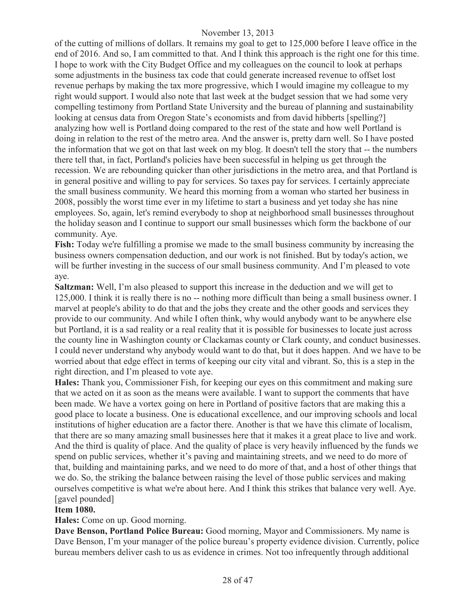of the cutting of millions of dollars. It remains my goal to get to 125,000 before I leave office in the end of 2016. And so, I am committed to that. And I think this approach is the right one for this time. I hope to work with the City Budget Office and my colleagues on the council to look at perhaps some adjustments in the business tax code that could generate increased revenue to offset lost revenue perhaps by making the tax more progressive, which I would imagine my colleague to my right would support. I would also note that last week at the budget session that we had some very compelling testimony from Portland State University and the bureau of planning and sustainability looking at census data from Oregon State's economists and from david hibberts [spelling?] analyzing how well is Portland doing compared to the rest of the state and how well Portland is doing in relation to the rest of the metro area. And the answer is, pretty darn well. So I have posted the information that we got on that last week on my blog. It doesn't tell the story that -- the numbers there tell that, in fact, Portland's policies have been successful in helping us get through the recession. We are rebounding quicker than other jurisdictions in the metro area, and that Portland is in general positive and willing to pay for services. So taxes pay for services. I certainly appreciate the small business community. We heard this morning from a woman who started her business in 2008, possibly the worst time ever in my lifetime to start a business and yet today she has nine employees. So, again, let's remind everybody to shop at neighborhood small businesses throughout the holiday season and I continue to support our small businesses which form the backbone of our community. Aye.

**Fish:** Today we're fulfilling a promise we made to the small business community by increasing the business owners compensation deduction, and our work is not finished. But by today's action, we will be further investing in the success of our small business community. And I'm pleased to vote aye.

**Saltzman:** Well, I'm also pleased to support this increase in the deduction and we will get to 125,000. I think it is really there is no -- nothing more difficult than being a small business owner. I marvel at people's ability to do that and the jobs they create and the other goods and services they provide to our community. And while I often think, why would anybody want to be anywhere else but Portland, it is a sad reality or a real reality that it is possible for businesses to locate just across the county line in Washington county or Clackamas county or Clark county, and conduct businesses. I could never understand why anybody would want to do that, but it does happen. And we have to be worried about that edge effect in terms of keeping our city vital and vibrant. So, this is a step in the right direction, and I'm pleased to vote aye.

**Hales:** Thank you, Commissioner Fish, for keeping our eyes on this commitment and making sure that we acted on it as soon as the means were available. I want to support the comments that have been made. We have a vortex going on here in Portland of positive factors that are making this a good place to locate a business. One is educational excellence, and our improving schools and local institutions of higher education are a factor there. Another is that we have this climate of localism, that there are so many amazing small businesses here that it makes it a great place to live and work. And the third is quality of place. And the quality of place is very heavily influenced by the funds we spend on public services, whether it's paving and maintaining streets, and we need to do more of that, building and maintaining parks, and we need to do more of that, and a host of other things that we do. So, the striking the balance between raising the level of those public services and making ourselves competitive is what we're about here. And I think this strikes that balance very well. Aye. [gavel pounded]

#### **Item 1080.**

**Hales:** Come on up. Good morning.

**Dave Benson, Portland Police Bureau:** Good morning, Mayor and Commissioners. My name is Dave Benson, I'm your manager of the police bureau's property evidence division. Currently, police bureau members deliver cash to us as evidence in crimes. Not too infrequently through additional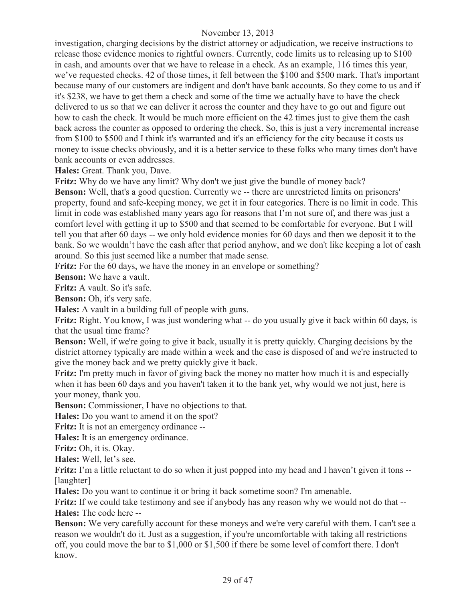investigation, charging decisions by the district attorney or adjudication, we receive instructions to release those evidence monies to rightful owners. Currently, code limits us to releasing up to \$100 in cash, and amounts over that we have to release in a check. As an example, 116 times this year, we've requested checks. 42 of those times, it fell between the \$100 and \$500 mark. That's important because many of our customers are indigent and don't have bank accounts. So they come to us and if it's \$238, we have to get them a check and some of the time we actually have to have the check delivered to us so that we can deliver it across the counter and they have to go out and figure out how to cash the check. It would be much more efficient on the 42 times just to give them the cash back across the counter as opposed to ordering the check. So, this is just a very incremental increase from \$100 to \$500 and I think it's warranted and it's an efficiency for the city because it costs us money to issue checks obviously, and it is a better service to these folks who many times don't have bank accounts or even addresses.

**Hales:** Great. Thank you, Dave.

**Fritz:** Why do we have any limit? Why don't we just give the bundle of money back?

**Benson:** Well, that's a good question. Currently we -- there are unrestricted limits on prisoners' property, found and safe-keeping money, we get it in four categories. There is no limit in code. This limit in code was established many years ago for reasons that I'm not sure of, and there was just a comfort level with getting it up to \$500 and that seemed to be comfortable for everyone. But I will tell you that after 60 days -- we only hold evidence monies for 60 days and then we deposit it to the bank. So we wouldn't have the cash after that period anyhow, and we don't like keeping a lot of cash around. So this just seemed like a number that made sense.

**Fritz:** For the 60 days, we have the money in an envelope or something?

**Benson:** We have a vault.

**Fritz:** A vault. So it's safe.

**Benson:** Oh, it's very safe.

**Hales:** A vault in a building full of people with guns.

**Fritz:** Right. You know, I was just wondering what -- do you usually give it back within 60 days, is that the usual time frame?

**Benson:** Well, if we're going to give it back, usually it is pretty quickly. Charging decisions by the district attorney typically are made within a week and the case is disposed of and we're instructed to give the money back and we pretty quickly give it back.

**Fritz:** I'm pretty much in favor of giving back the money no matter how much it is and especially when it has been 60 days and you haven't taken it to the bank yet, why would we not just, here is your money, thank you.

**Benson:** Commissioner, I have no objections to that.

**Hales:** Do you want to amend it on the spot?

**Fritz:** It is not an emergency ordinance --

**Hales:** It is an emergency ordinance.

**Fritz:** Oh, it is. Okay.

**Hales:** Well, let's see.

**Fritz:** I'm a little reluctant to do so when it just popped into my head and I haven't given it tons --[laughter]

**Hales:** Do you want to continue it or bring it back sometime soon? I'm amenable.

**Fritz:** If we could take testimony and see if anybody has any reason why we would not do that -- **Hales:** The code here --

**Benson:** We very carefully account for these moneys and we're very careful with them. I can't see a reason we wouldn't do it. Just as a suggestion, if you're uncomfortable with taking all restrictions off, you could move the bar to \$1,000 or \$1,500 if there be some level of comfort there. I don't know.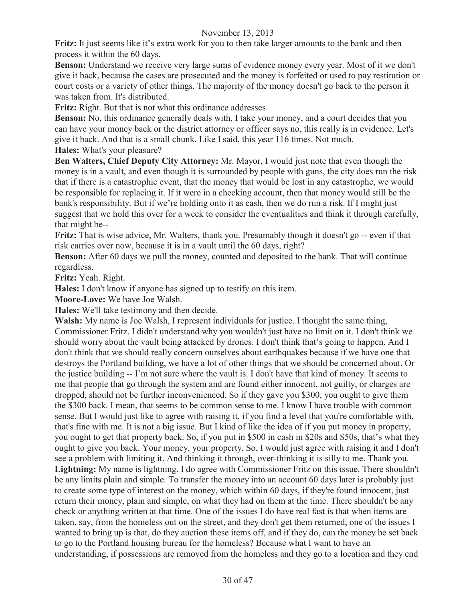**Fritz:** It just seems like it's extra work for you to then take larger amounts to the bank and then process it within the 60 days.

**Benson:** Understand we receive very large sums of evidence money every year. Most of it we don't give it back, because the cases are prosecuted and the money is forfeited or used to pay restitution or court costs or a variety of other things. The majority of the money doesn't go back to the person it was taken from. It's distributed.

**Fritz:** Right. But that is not what this ordinance addresses.

**Benson:** No, this ordinance generally deals with, I take your money, and a court decides that you can have your money back or the district attorney or officer says no, this really is in evidence. Let's give it back. And that is a small chunk. Like I said, this year 116 times. Not much. **Hales:** What's your pleasure?

**Ben Walters, Chief Deputy City Attorney:** Mr. Mayor, I would just note that even though the money is in a vault, and even though it is surrounded by people with guns, the city does run the risk that if there is a catastrophic event, that the money that would be lost in any catastrophe, we would be responsible for replacing it. If it were in a checking account, then that money would still be the bank's responsibility. But if we're holding onto it as cash, then we do run a risk. If I might just suggest that we hold this over for a week to consider the eventualities and think it through carefully, that might be--

**Fritz:** That is wise advice, Mr. Walters, thank you. Presumably though it doesn't go -- even if that risk carries over now, because it is in a vault until the 60 days, right?

**Benson:** After 60 days we pull the money, counted and deposited to the bank. That will continue regardless.

**Fritz:** Yeah. Right.

**Hales:** I don't know if anyone has signed up to testify on this item.

**Moore-Love:** We have Joe Walsh.

**Hales:** We'll take testimony and then decide.

**Walsh:** My name is Joe Walsh, I represent individuals for justice. I thought the same thing, Commissioner Fritz. I didn't understand why you wouldn't just have no limit on it. I don't think we should worry about the vault being attacked by drones. I don't think that's going to happen. And I don't think that we should really concern ourselves about earthquakes because if we have one that destroys the Portland building, we have a lot of other things that we should be concerned about. Or the justice building -- I'm not sure where the vault is. I don't have that kind of money. It seems to me that people that go through the system and are found either innocent, not guilty, or charges are dropped, should not be further inconvenienced. So if they gave you \$300, you ought to give them the \$300 back. I mean, that seems to be common sense to me. I know I have trouble with common sense. But I would just like to agree with raising it, if you find a level that you're comfortable with, that's fine with me. It is not a big issue. But I kind of like the idea of if you put money in property, you ought to get that property back. So, if you put in \$500 in cash in \$20s and \$50s, that's what they ought to give you back. Your money, your property. So, I would just agree with raising it and I don't see a problem with limiting it. And thinking it through, over-thinking it is silly to me. Thank you. **Lightning:** My name is lightning. I do agree with Commissioner Fritz on this issue. There shouldn't be any limits plain and simple. To transfer the money into an account 60 days later is probably just to create some type of interest on the money, which within 60 days, if they're found innocent, just return their money, plain and simple, on what they had on them at the time. There shouldn't be any check or anything written at that time. One of the issues I do have real fast is that when items are taken, say, from the homeless out on the street, and they don't get them returned, one of the issues I wanted to bring up is that, do they auction these items off, and if they do, can the money be set back to go to the Portland housing bureau for the homeless? Because what I want to have an understanding, if possessions are removed from the homeless and they go to a location and they end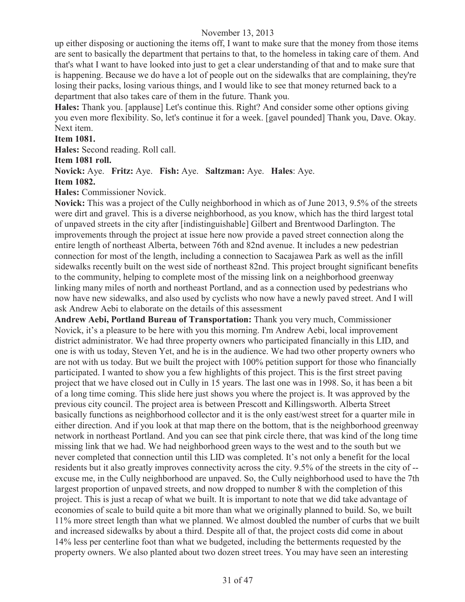up either disposing or auctioning the items off, I want to make sure that the money from those items are sent to basically the department that pertains to that, to the homeless in taking care of them. And that's what I want to have looked into just to get a clear understanding of that and to make sure that is happening. Because we do have a lot of people out on the sidewalks that are complaining, they're losing their packs, losing various things, and I would like to see that money returned back to a department that also takes care of them in the future. Thank you.

**Hales:** Thank you. [applause] Let's continue this. Right? And consider some other options giving you even more flexibility. So, let's continue it for a week. [gavel pounded] Thank you, Dave. Okay. Next item.

#### **Item 1081.**

**Hales:** Second reading. Roll call.

#### **Item 1081 roll.**

#### **Novick:** Aye. **Fritz:** Aye. **Fish:** Aye. **Saltzman:** Aye. **Hales**: Aye.

#### **Item 1082.**

**Hales:** Commissioner Novick.

**Novick:** This was a project of the Cully neighborhood in which as of June 2013, 9.5% of the streets were dirt and gravel. This is a diverse neighborhood, as you know, which has the third largest total of unpaved streets in the city after [indistinguishable] Gilbert and Brentwood Darlington. The improvements through the project at issue here now provide a paved street connection along the entire length of northeast Alberta, between 76th and 82nd avenue. It includes a new pedestrian connection for most of the length, including a connection to Sacajawea Park as well as the infill sidewalks recently built on the west side of northeast 82nd. This project brought significant benefits to the community, helping to complete most of the missing link on a neighborhood greenway linking many miles of north and northeast Portland, and as a connection used by pedestrians who now have new sidewalks, and also used by cyclists who now have a newly paved street. And I will ask Andrew Aebi to elaborate on the details of this assessment

**Andrew Aebi, Portland Bureau of Transportation:** Thank you very much, Commissioner Novick, it's a pleasure to be here with you this morning. I'm Andrew Aebi, local improvement district administrator. We had three property owners who participated financially in this LID, and one is with us today, Steven Yet, and he is in the audience. We had two other property owners who are not with us today. But we built the project with 100% petition support for those who financially participated. I wanted to show you a few highlights of this project. This is the first street paving project that we have closed out in Cully in 15 years. The last one was in 1998. So, it has been a bit of a long time coming. This slide here just shows you where the project is. It was approved by the previous city council. The project area is between Prescott and Killingsworth. Alberta Street basically functions as neighborhood collector and it is the only east/west street for a quarter mile in either direction. And if you look at that map there on the bottom, that is the neighborhood greenway network in northeast Portland. And you can see that pink circle there, that was kind of the long time missing link that we had. We had neighborhood green ways to the west and to the south but we never completed that connection until this LID was completed. It's not only a benefit for the local residents but it also greatly improves connectivity across the city. 9.5% of the streets in the city of - excuse me, in the Cully neighborhood are unpaved. So, the Cully neighborhood used to have the 7th largest proportion of unpaved streets, and now dropped to number 8 with the completion of this project. This is just a recap of what we built. It is important to note that we did take advantage of economies of scale to build quite a bit more than what we originally planned to build. So, we built 11% more street length than what we planned. We almost doubled the number of curbs that we built and increased sidewalks by about a third. Despite all of that, the project costs did come in about 14% less per centerline foot than what we budgeted, including the betterments requested by the property owners. We also planted about two dozen street trees. You may have seen an interesting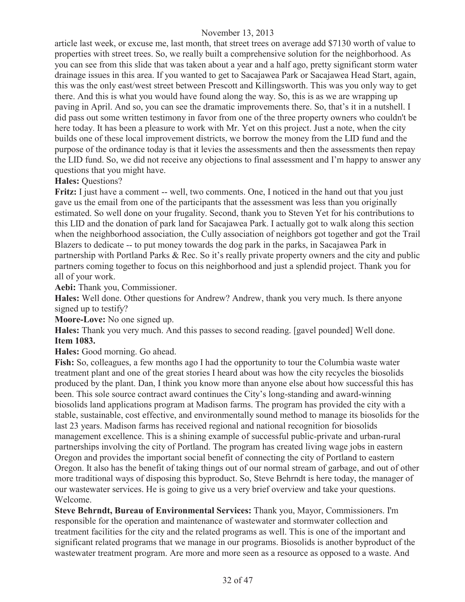article last week, or excuse me, last month, that street trees on average add \$7130 worth of value to properties with street trees. So, we really built a comprehensive solution for the neighborhood. As you can see from this slide that was taken about a year and a half ago, pretty significant storm water drainage issues in this area. If you wanted to get to Sacajawea Park or Sacajawea Head Start, again, this was the only east/west street between Prescott and Killingsworth. This was you only way to get there. And this is what you would have found along the way. So, this is as we are wrapping up paving in April. And so, you can see the dramatic improvements there. So, that's it in a nutshell. I did pass out some written testimony in favor from one of the three property owners who couldn't be here today. It has been a pleasure to work with Mr. Yet on this project. Just a note, when the city builds one of these local improvement districts, we borrow the money from the LID fund and the purpose of the ordinance today is that it levies the assessments and then the assessments then repay the LID fund. So, we did not receive any objections to final assessment and I'm happy to answer any questions that you might have.

## **Hales:** Questions?

**Fritz:** I just have a comment -- well, two comments. One, I noticed in the hand out that you just gave us the email from one of the participants that the assessment was less than you originally estimated. So well done on your frugality. Second, thank you to Steven Yet for his contributions to this LID and the donation of park land for Sacajawea Park. I actually got to walk along this section when the neighborhood association, the Cully association of neighbors got together and got the Trail Blazers to dedicate -- to put money towards the dog park in the parks, in Sacajawea Park in partnership with Portland Parks & Rec. So it's really private property owners and the city and public partners coming together to focus on this neighborhood and just a splendid project. Thank you for all of your work.

**Aebi:** Thank you, Commissioner.

**Hales:** Well done. Other questions for Andrew? Andrew, thank you very much. Is there anyone signed up to testify?

**Moore-Love:** No one signed up.

**Hales:** Thank you very much. And this passes to second reading. [gavel pounded] Well done. **Item 1083.**

**Hales:** Good morning. Go ahead.

**Fish:** So, colleagues, a few months ago I had the opportunity to tour the Columbia waste water treatment plant and one of the great stories I heard about was how the city recycles the biosolids produced by the plant. Dan, I think you know more than anyone else about how successful this has been. This sole source contract award continues the City's long-standing and award-winning biosolids land applications program at Madison farms. The program has provided the city with a stable, sustainable, cost effective, and environmentally sound method to manage its biosolids for the last 23 years. Madison farms has received regional and national recognition for biosolids management excellence. This is a shining example of successful public-private and urban-rural partnerships involving the city of Portland. The program has created living wage jobs in eastern Oregon and provides the important social benefit of connecting the city of Portland to eastern Oregon. It also has the benefit of taking things out of our normal stream of garbage, and out of other more traditional ways of disposing this byproduct. So, Steve Behrndt is here today, the manager of our wastewater services. He is going to give us a very brief overview and take your questions. Welcome.

**Steve Behrndt, Bureau of Environmental Services:** Thank you, Mayor, Commissioners. I'm responsible for the operation and maintenance of wastewater and stormwater collection and treatment facilities for the city and the related programs as well. This is one of the important and significant related programs that we manage in our programs. Biosolids is another byproduct of the wastewater treatment program. Are more and more seen as a resource as opposed to a waste. And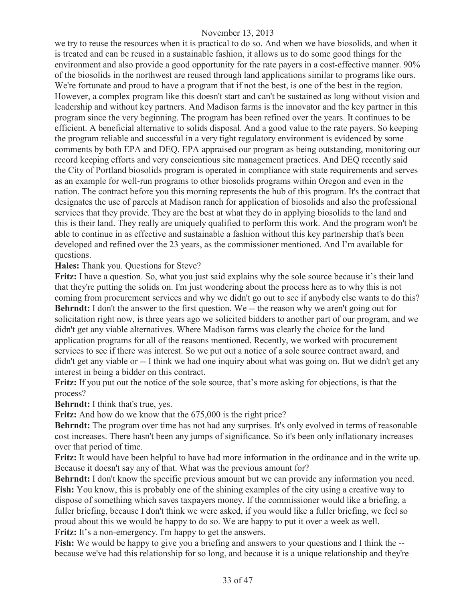we try to reuse the resources when it is practical to do so. And when we have biosolids, and when it is treated and can be reused in a sustainable fashion, it allows us to do some good things for the environment and also provide a good opportunity for the rate payers in a cost-effective manner. 90% of the biosolids in the northwest are reused through land applications similar to programs like ours. We're fortunate and proud to have a program that if not the best, is one of the best in the region. However, a complex program like this doesn't start and can't be sustained as long without vision and leadership and without key partners. And Madison farms is the innovator and the key partner in this program since the very beginning. The program has been refined over the years. It continues to be efficient. A beneficial alternative to solids disposal. And a good value to the rate payers. So keeping the program reliable and successful in a very tight regulatory environment is evidenced by some comments by both EPA and DEQ. EPA appraised our program as being outstanding, monitoring our record keeping efforts and very conscientious site management practices. And DEQ recently said the City of Portland biosolids program is operated in compliance with state requirements and serves as an example for well-run programs to other biosolids programs within Oregon and even in the nation. The contract before you this morning represents the hub of this program. It's the contract that designates the use of parcels at Madison ranch for application of biosolids and also the professional services that they provide. They are the best at what they do in applying biosolids to the land and this is their land. They really are uniquely qualified to perform this work. And the program won't be able to continue in as effective and sustainable a fashion without this key partnership that's been developed and refined over the 23 years, as the commissioner mentioned. And I'm available for questions.

**Hales:** Thank you. Questions for Steve?

**Fritz:** I have a question. So, what you just said explains why the sole source because it's their land that they're putting the solids on. I'm just wondering about the process here as to why this is not coming from procurement services and why we didn't go out to see if anybody else wants to do this? **Behrndt:** I don't the answer to the first question. We -- the reason why we aren't going out for solicitation right now, is three years ago we solicited bidders to another part of our program, and we didn't get any viable alternatives. Where Madison farms was clearly the choice for the land application programs for all of the reasons mentioned. Recently, we worked with procurement services to see if there was interest. So we put out a notice of a sole source contract award, and didn't get any viable or -- I think we had one inquiry about what was going on. But we didn't get any interest in being a bidder on this contract.

**Fritz:** If you put out the notice of the sole source, that's more asking for objections, is that the process?

**Behrndt:** I think that's true, yes.

Fritz: And how do we know that the  $675,000$  is the right price?

**Behrndt:** The program over time has not had any surprises. It's only evolved in terms of reasonable cost increases. There hasn't been any jumps of significance. So it's been only inflationary increases over that period of time.

**Fritz:** It would have been helpful to have had more information in the ordinance and in the write up. Because it doesn't say any of that. What was the previous amount for?

**Behrndt:** I don't know the specific previous amount but we can provide any information you need. **Fish:** You know, this is probably one of the shining examples of the city using a creative way to dispose of something which saves taxpayers money. If the commissioner would like a briefing, a fuller briefing, because I don't think we were asked, if you would like a fuller briefing, we feel so proud about this we would be happy to do so. We are happy to put it over a week as well. Fritz: It's a non-emergency. I'm happy to get the answers.

**Fish:** We would be happy to give you a briefing and answers to your questions and I think the - because we've had this relationship for so long, and because it is a unique relationship and they're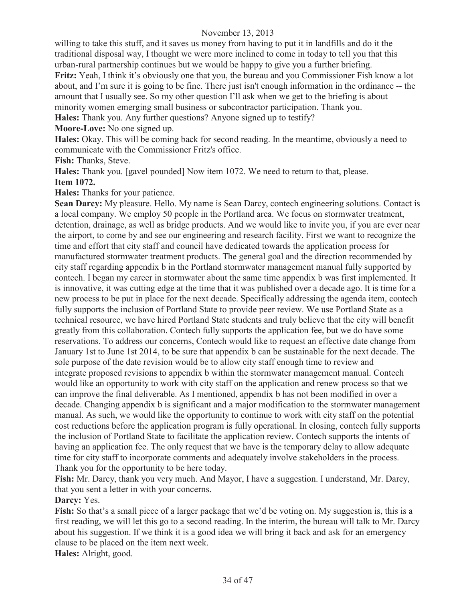willing to take this stuff, and it saves us money from having to put it in landfills and do it the traditional disposal way, I thought we were more inclined to come in today to tell you that this urban-rural partnership continues but we would be happy to give you a further briefing.

**Fritz:** Yeah, I think it's obviously one that you, the bureau and you Commissioner Fish know a lot about, and I'm sure it is going to be fine. There just isn't enough information in the ordinance -- the amount that I usually see. So my other question I'll ask when we get to the briefing is about minority women emerging small business or subcontractor participation. Thank you.

**Hales:** Thank you. Any further questions? Anyone signed up to testify?

**Moore-Love:** No one signed up.

**Hales:** Okay. This will be coming back for second reading. In the meantime, obviously a need to communicate with the Commissioner Fritz's office.

**Fish:** Thanks, Steve.

**Hales:** Thank you. [gavel pounded] Now item 1072. We need to return to that, please. **Item 1072.**

**Hales:** Thanks for your patience.

**Sean Darcy:** My pleasure. Hello. My name is Sean Darcy, contech engineering solutions. Contact is a local company. We employ 50 people in the Portland area. We focus on stormwater treatment, detention, drainage, as well as bridge products. And we would like to invite you, if you are ever near the airport, to come by and see our engineering and research facility. First we want to recognize the time and effort that city staff and council have dedicated towards the application process for manufactured stormwater treatment products. The general goal and the direction recommended by city staff regarding appendix b in the Portland stormwater management manual fully supported by contech. I began my career in stormwater about the same time appendix b was first implemented. It is innovative, it was cutting edge at the time that it was published over a decade ago. It is time for a new process to be put in place for the next decade. Specifically addressing the agenda item, contech fully supports the inclusion of Portland State to provide peer review. We use Portland State as a technical resource, we have hired Portland State students and truly believe that the city will benefit greatly from this collaboration. Contech fully supports the application fee, but we do have some reservations. To address our concerns, Contech would like to request an effective date change from January 1st to June 1st 2014, to be sure that appendix b can be sustainable for the next decade. The sole purpose of the date revision would be to allow city staff enough time to review and integrate proposed revisions to appendix b within the stormwater management manual. Contech would like an opportunity to work with city staff on the application and renew process so that we can improve the final deliverable. As I mentioned, appendix b has not been modified in over a decade. Changing appendix b is significant and a major modification to the stormwater management manual. As such, we would like the opportunity to continue to work with city staff on the potential cost reductions before the application program is fully operational. In closing, contech fully supports the inclusion of Portland State to facilitate the application review. Contech supports the intents of having an application fee. The only request that we have is the temporary delay to allow adequate time for city staff to incorporate comments and adequately involve stakeholders in the process. Thank you for the opportunity to be here today.

**Fish:** Mr. Darcy, thank you very much. And Mayor, I have a suggestion. I understand, Mr. Darcy, that you sent a letter in with your concerns.

**Darcy:** Yes.

**Fish:** So that's a small piece of a larger package that we'd be voting on. My suggestion is, this is a first reading, we will let this go to a second reading. In the interim, the bureau will talk to Mr. Darcy about his suggestion. If we think it is a good idea we will bring it back and ask for an emergency clause to be placed on the item next week.

**Hales:** Alright, good.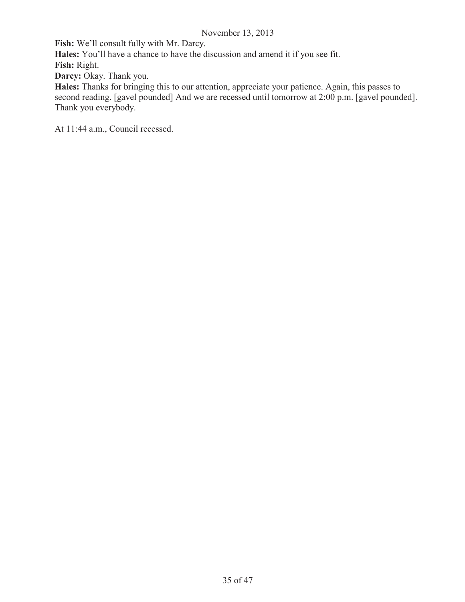**Fish:** We'll consult fully with Mr. Darcy.

**Hales:** You'll have a chance to have the discussion and amend it if you see fit.

**Fish:** Right.

Darcy: Okay. Thank you.

**Hales:** Thanks for bringing this to our attention, appreciate your patience. Again, this passes to second reading. [gavel pounded] And we are recessed until tomorrow at 2:00 p.m. [gavel pounded]. Thank you everybody.

At 11:44 a.m., Council recessed.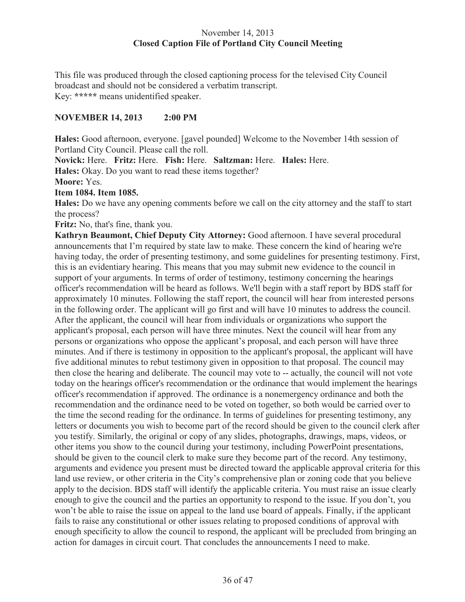## November 14, 2013 **Closed Caption File of Portland City Council Meeting**

This file was produced through the closed captioning process for the televised City Council broadcast and should not be considered a verbatim transcript. Key: **\*\*\*\*\*** means unidentified speaker.

## **NOVEMBER 14, 2013 2:00 PM**

**Hales:** Good afternoon, everyone. [gavel pounded] Welcome to the November 14th session of Portland City Council. Please call the roll.

**Novick:** Here. **Fritz:** Here. **Fish:** Here. **Saltzman:** Here. **Hales:** Here.

**Hales:** Okay. Do you want to read these items together?

**Moore:** Yes.

#### **Item 1084. Item 1085.**

**Hales:** Do we have any opening comments before we call on the city attorney and the staff to start the process?

**Fritz:** No, that's fine, thank you.

**Kathryn Beaumont, Chief Deputy City Attorney:** Good afternoon. I have several procedural announcements that I'm required by state law to make. These concern the kind of hearing we're having today, the order of presenting testimony, and some guidelines for presenting testimony. First, this is an evidentiary hearing. This means that you may submit new evidence to the council in support of your arguments. In terms of order of testimony, testimony concerning the hearings officer's recommendation will be heard as follows. We'll begin with a staff report by BDS staff for approximately 10 minutes. Following the staff report, the council will hear from interested persons in the following order. The applicant will go first and will have 10 minutes to address the council. After the applicant, the council will hear from individuals or organizations who support the applicant's proposal, each person will have three minutes. Next the council will hear from any persons or organizations who oppose the applicant's proposal, and each person will have three minutes. And if there is testimony in opposition to the applicant's proposal, the applicant will have five additional minutes to rebut testimony given in opposition to that proposal. The council may then close the hearing and deliberate. The council may vote to -- actually, the council will not vote today on the hearings officer's recommendation or the ordinance that would implement the hearings officer's recommendation if approved. The ordinance is a nonemergency ordinance and both the recommendation and the ordinance need to be voted on together, so both would be carried over to the time the second reading for the ordinance. In terms of guidelines for presenting testimony, any letters or documents you wish to become part of the record should be given to the council clerk after you testify. Similarly, the original or copy of any slides, photographs, drawings, maps, videos, or other items you show to the council during your testimony, including PowerPoint presentations, should be given to the council clerk to make sure they become part of the record. Any testimony, arguments and evidence you present must be directed toward the applicable approval criteria for this land use review, or other criteria in the City's comprehensive plan or zoning code that you believe apply to the decision. BDS staff will identify the applicable criteria. You must raise an issue clearly enough to give the council and the parties an opportunity to respond to the issue. If you don't, you won't be able to raise the issue on appeal to the land use board of appeals. Finally, if the applicant fails to raise any constitutional or other issues relating to proposed conditions of approval with enough specificity to allow the council to respond, the applicant will be precluded from bringing an action for damages in circuit court. That concludes the announcements I need to make.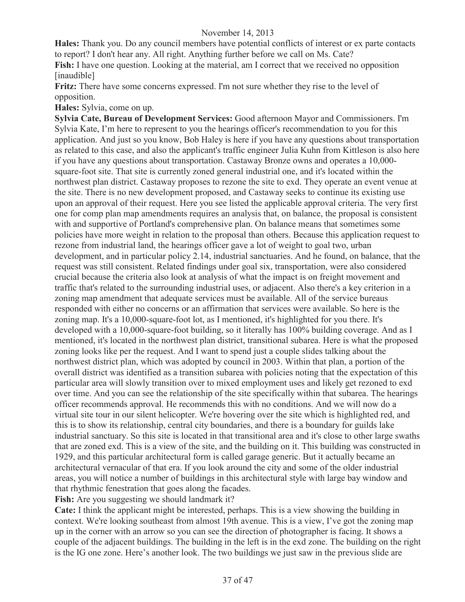**Hales:** Thank you. Do any council members have potential conflicts of interest or ex parte contacts to report? I don't hear any. All right. Anything further before we call on Ms. Cate? **Fish:** I have one question. Looking at the material, am I correct that we received no opposition [inaudible]

**Fritz:** There have some concerns expressed. I'm not sure whether they rise to the level of opposition.

**Hales:** Sylvia, come on up.

**Sylvia Cate, Bureau of Development Services:** Good afternoon Mayor and Commissioners. I'm Sylvia Kate, I'm here to represent to you the hearings officer's recommendation to you for this application. And just so you know, Bob Haley is here if you have any questions about transportation as related to this case, and also the applicant's traffic engineer Julia Kuhn from Kittleson is also here if you have any questions about transportation. Castaway Bronze owns and operates a 10,000 square-foot site. That site is currently zoned general industrial one, and it's located within the northwest plan district. Castaway proposes to rezone the site to exd. They operate an event venue at the site. There is no new development proposed, and Castaway seeks to continue its existing use upon an approval of their request. Here you see listed the applicable approval criteria. The very first one for comp plan map amendments requires an analysis that, on balance, the proposal is consistent with and supportive of Portland's comprehensive plan. On balance means that sometimes some policies have more weight in relation to the proposal than others. Because this application request to rezone from industrial land, the hearings officer gave a lot of weight to goal two, urban development, and in particular policy 2.14, industrial sanctuaries. And he found, on balance, that the request was still consistent. Related findings under goal six, transportation, were also considered crucial because the criteria also look at analysis of what the impact is on freight movement and traffic that's related to the surrounding industrial uses, or adjacent. Also there's a key criterion in a zoning map amendment that adequate services must be available. All of the service bureaus responded with either no concerns or an affirmation that services were available. So here is the zoning map. It's a 10,000-square-foot lot, as I mentioned, it's highlighted for you there. It's developed with a 10,000-square-foot building, so it literally has 100% building coverage. And as I mentioned, it's located in the northwest plan district, transitional subarea. Here is what the proposed zoning looks like per the request. And I want to spend just a couple slides talking about the northwest district plan, which was adopted by council in 2003. Within that plan, a portion of the overall district was identified as a transition subarea with policies noting that the expectation of this particular area will slowly transition over to mixed employment uses and likely get rezoned to exd over time. And you can see the relationship of the site specifically within that subarea. The hearings officer recommends approval. He recommends this with no conditions. And we will now do a virtual site tour in our silent helicopter. We're hovering over the site which is highlighted red, and this is to show its relationship, central city boundaries, and there is a boundary for guilds lake industrial sanctuary. So this site is located in that transitional area and it's close to other large swaths that are zoned exd. This is a view of the site, and the building on it. This building was constructed in 1929, and this particular architectural form is called garage generic. But it actually became an architectural vernacular of that era. If you look around the city and some of the older industrial areas, you will notice a number of buildings in this architectural style with large bay window and that rhythmic fenestration that goes along the facades.

**Fish:** Are you suggesting we should landmark it?

**Cate:** I think the applicant might be interested, perhaps. This is a view showing the building in context. We're looking southeast from almost 19th avenue. This is a view, I've got the zoning map up in the corner with an arrow so you can see the direction of photographer is facing. It shows a couple of the adjacent buildings. The building in the left is in the exd zone. The building on the right is the IG one zone. Here's another look. The two buildings we just saw in the previous slide are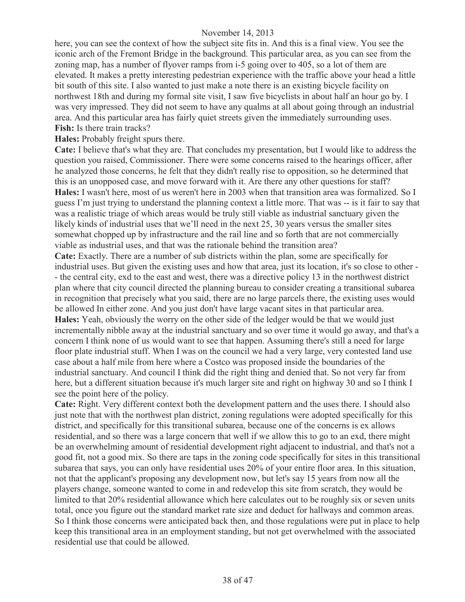here, you can see the context of how the subject site fits in. And this is a final view. You see the iconic arch of the Fremont Bridge in the background. This particular area, as you can see from the zoning map, has a number of flyover ramps from i-5 going over to 405, so a lot of them are elevated. It makes a pretty interesting pedestrian experience with the traffic above your head a little bit south of this site. I also wanted to just make a note there is an existing bicycle facility on northwest 18th and during my formal site visit, I saw five bicyclists in about half an hour go by. I was very impressed. They did not seem to have any qualms at all about going through an industrial area. And this particular area has fairly quiet streets given the immediately surrounding uses. **Fish:** Is there train tracks?

**Hales:** Probably freight spurs there.

**Cate:** I believe that's what they are. That concludes my presentation, but I would like to address the question you raised, Commissioner. There were some concerns raised to the hearings officer, after he analyzed those concerns, he felt that they didn't really rise to opposition, so he determined that this is an unopposed case, and move forward with it. Are there any other questions for staff? **Hales:** I wasn't here, most of us weren't here in 2003 when that transition area was formalized. So I guess I'm just trying to understand the planning context a little more. That was -- is it fair to say that was a realistic triage of which areas would be truly still viable as industrial sanctuary given the likely kinds of industrial uses that we'll need in the next 25, 30 years versus the smaller sites somewhat chopped up by infrastructure and the rail line and so forth that are not commercially viable as industrial uses, and that was the rationale behind the transition area?

**Cate:** Exactly. There are a number of sub districts within the plan, some are specifically for industrial uses. But given the existing uses and how that area, just its location, it's so close to other - - the central city, exd to the east and west, there was a directive policy 13 in the northwest district plan where that city council directed the planning bureau to consider creating a transitional subarea in recognition that precisely what you said, there are no large parcels there, the existing uses would be allowed In either zone. And you just don't have large vacant sites in that particular area. Hales: Yeah, obviously the worry on the other side of the ledger would be that we would just incrementally nibble away at the industrial sanctuary and so over time it would go away, and that's a concern I think none of us would want to see that happen. Assuming there's still a need for large floor plate industrial stuff. When I was on the council we had a very large, very contested land use case about a half mile from here where a Costco was proposed inside the boundaries of the industrial sanctuary. And council I think did the right thing and denied that. So not very far from here, but a different situation because it's much larger site and right on highway 30 and so I think I see the point here of the policy.

**Cate:** Right. Very different context both the development pattern and the uses there. I should also just note that with the northwest plan district, zoning regulations were adopted specifically for this district, and specifically for this transitional subarea, because one of the concerns is ex allows residential, and so there was a large concern that well if we allow this to go to an exd, there might be an overwhelming amount of residential development right adjacent to industrial, and that's not a good fit, not a good mix. So there are taps in the zoning code specifically for sites in this transitional subarea that says, you can only have residential uses 20% of your entire floor area. In this situation, not that the applicant's proposing any development now, but let's say 15 years from now all the players change, someone wanted to come in and redevelop this site from scratch, they would be limited to that 20% residential allowance which here calculates out to be roughly six or seven units total, once you figure out the standard market rate size and deduct for hallways and common areas. So I think those concerns were anticipated back then, and those regulations were put in place to help keep this transitional area in an employment standing, but not get overwhelmed with the associated residential use that could be allowed.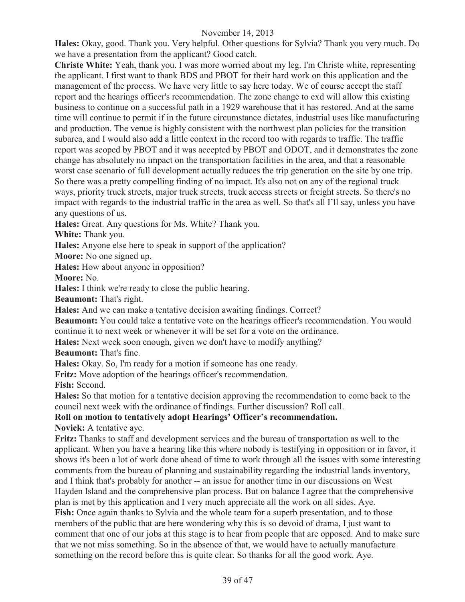**Hales:** Okay, good. Thank you. Very helpful. Other questions for Sylvia? Thank you very much. Do we have a presentation from the applicant? Good catch.

**Christe White:** Yeah, thank you. I was more worried about my leg. I'm Christe white, representing the applicant. I first want to thank BDS and PBOT for their hard work on this application and the management of the process. We have very little to say here today. We of course accept the staff report and the hearings officer's recommendation. The zone change to exd will allow this existing business to continue on a successful path in a 1929 warehouse that it has restored. And at the same time will continue to permit if in the future circumstance dictates, industrial uses like manufacturing and production. The venue is highly consistent with the northwest plan policies for the transition subarea, and I would also add a little context in the record too with regards to traffic. The traffic report was scoped by PBOT and it was accepted by PBOT and ODOT, and it demonstrates the zone change has absolutely no impact on the transportation facilities in the area, and that a reasonable worst case scenario of full development actually reduces the trip generation on the site by one trip. So there was a pretty compelling finding of no impact. It's also not on any of the regional truck ways, priority truck streets, major truck streets, truck access streets or freight streets. So there's no impact with regards to the industrial traffic in the area as well. So that's all I'll say, unless you have any questions of us.

**Hales:** Great. Any questions for Ms. White? Thank you.

**White:** Thank you.

**Hales:** Anyone else here to speak in support of the application?

**Moore:** No one signed up.

**Hales:** How about anyone in opposition?

**Moore:** No.

**Hales:** I think we're ready to close the public hearing.

**Beaumont:** That's right.

**Hales:** And we can make a tentative decision awaiting findings. Correct?

**Beaumont:** You could take a tentative vote on the hearings officer's recommendation. You would continue it to next week or whenever it will be set for a vote on the ordinance.

**Hales:** Next week soon enough, given we don't have to modify anything?

**Beaumont:** That's fine.

**Hales:** Okay. So, I'm ready for a motion if someone has one ready.

**Fritz:** Move adoption of the hearings officer's recommendation.

**Fish:** Second.

**Hales:** So that motion for a tentative decision approving the recommendation to come back to the council next week with the ordinance of findings. Further discussion? Roll call.

**Roll on motion to tentatively adopt Hearings' Officer's recommendation.** 

**Novick:** A tentative aye.

**Fritz:** Thanks to staff and development services and the bureau of transportation as well to the applicant. When you have a hearing like this where nobody is testifying in opposition or in favor, it shows it's been a lot of work done ahead of time to work through all the issues with some interesting comments from the bureau of planning and sustainability regarding the industrial lands inventory, and I think that's probably for another -- an issue for another time in our discussions on West Hayden Island and the comprehensive plan process. But on balance I agree that the comprehensive plan is met by this application and I very much appreciate all the work on all sides. Aye. **Fish:** Once again thanks to Sylvia and the whole team for a superb presentation, and to those members of the public that are here wondering why this is so devoid of drama, I just want to comment that one of our jobs at this stage is to hear from people that are opposed. And to make sure that we not miss something. So in the absence of that, we would have to actually manufacture something on the record before this is quite clear. So thanks for all the good work. Aye.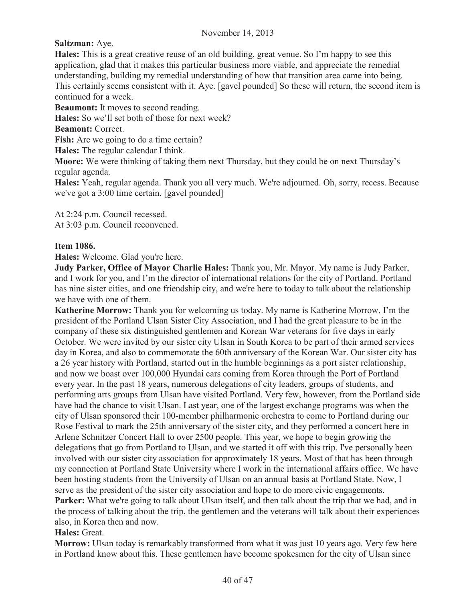## **Saltzman:** Aye.

**Hales:** This is a great creative reuse of an old building, great venue. So I'm happy to see this application, glad that it makes this particular business more viable, and appreciate the remedial understanding, building my remedial understanding of how that transition area came into being. This certainly seems consistent with it. Aye. [gavel pounded] So these will return, the second item is continued for a week.

**Beaumont:** It moves to second reading.

**Hales:** So we'll set both of those for next week?

**Beamont:** Correct.

Fish: Are we going to do a time certain?

**Hales:** The regular calendar I think.

**Moore:** We were thinking of taking them next Thursday, but they could be on next Thursday's regular agenda.

**Hales:** Yeah, regular agenda. Thank you all very much. We're adjourned. Oh, sorry, recess. Because we've got a 3:00 time certain. [gavel pounded]

At 2:24 p.m. Council recessed.

At 3:03 p.m. Council reconvened.

## **Item 1086.**

**Hales:** Welcome. Glad you're here.

**Judy Parker, Office of Mayor Charlie Hales:** Thank you, Mr. Mayor. My name is Judy Parker, and I work for you, and I'm the director of international relations for the city of Portland. Portland has nine sister cities, and one friendship city, and we're here to today to talk about the relationship we have with one of them.

**Katherine Morrow:** Thank you for welcoming us today. My name is Katherine Morrow, I'm the president of the Portland Ulsan Sister City Association, and I had the great pleasure to be in the company of these six distinguished gentlemen and Korean War veterans for five days in early October. We were invited by our sister city Ulsan in South Korea to be part of their armed services day in Korea, and also to commemorate the 60th anniversary of the Korean War. Our sister city has a 26 year history with Portland, started out in the humble beginnings as a port sister relationship, and now we boast over 100,000 Hyundai cars coming from Korea through the Port of Portland every year. In the past 18 years, numerous delegations of city leaders, groups of students, and performing arts groups from Ulsan have visited Portland. Very few, however, from the Portland side have had the chance to visit Ulsan. Last year, one of the largest exchange programs was when the city of Ulsan sponsored their 100-member philharmonic orchestra to come to Portland during our Rose Festival to mark the 25th anniversary of the sister city, and they performed a concert here in Arlene Schnitzer Concert Hall to over 2500 people. This year, we hope to begin growing the delegations that go from Portland to Ulsan, and we started it off with this trip. I've personally been involved with our sister city association for approximately 18 years. Most of that has been through my connection at Portland State University where I work in the international affairs office. We have been hosting students from the University of Ulsan on an annual basis at Portland State. Now, I serve as the president of the sister city association and hope to do more civic engagements. **Parker:** What we're going to talk about Ulsan itself, and then talk about the trip that we had, and in the process of talking about the trip, the gentlemen and the veterans will talk about their experiences also, in Korea then and now.

**Hales:** Great.

**Morrow:** Ulsan today is remarkably transformed from what it was just 10 years ago. Very few here in Portland know about this. These gentlemen have become spokesmen for the city of Ulsan since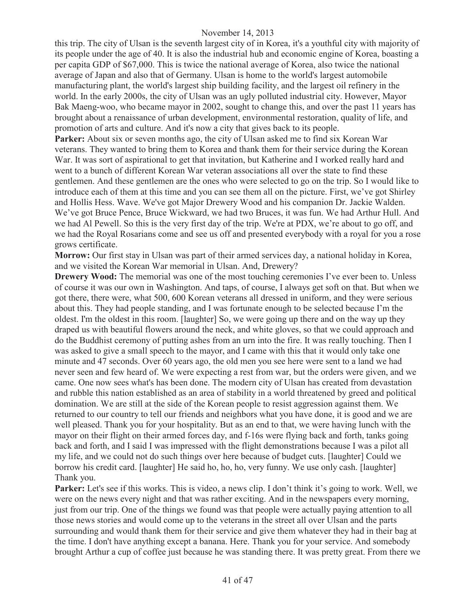this trip. The city of Ulsan is the seventh largest city of in Korea, it's a youthful city with majority of its people under the age of 40. It is also the industrial hub and economic engine of Korea, boasting a per capita GDP of \$67,000. This is twice the national average of Korea, also twice the national average of Japan and also that of Germany. Ulsan is home to the world's largest automobile manufacturing plant, the world's largest ship building facility, and the largest oil refinery in the world. In the early 2000s, the city of Ulsan was an ugly polluted industrial city. However, Mayor Bak Maeng-woo, who became mayor in 2002, sought to change this, and over the past 11 years has brought about a renaissance of urban development, environmental restoration, quality of life, and promotion of arts and culture. And it's now a city that gives back to its people.

Parker: About six or seven months ago, the city of Ulsan asked me to find six Korean War veterans. They wanted to bring them to Korea and thank them for their service during the Korean War. It was sort of aspirational to get that invitation, but Katherine and I worked really hard and went to a bunch of different Korean War veteran associations all over the state to find these gentlemen. And these gentlemen are the ones who were selected to go on the trip. So I would like to introduce each of them at this time and you can see them all on the picture. First, we've got Shirley and Hollis Hess. Wave. We've got Major Drewery Wood and his companion Dr. Jackie Walden. We've got Bruce Pence, Bruce Wickward, we had two Bruces, it was fun. We had Arthur Hull. And we had Al Pewell. So this is the very first day of the trip. We're at PDX, we're about to go off, and we had the Royal Rosarians come and see us off and presented everybody with a royal for you a rose grows certificate.

**Morrow:** Our first stay in Ulsan was part of their armed services day, a national holiday in Korea, and we visited the Korean War memorial in Ulsan. And, Drewery?

**Drewery Wood:** The memorial was one of the most touching ceremonies I've ever been to. Unless of course it was our own in Washington. And taps, of course, I always get soft on that. But when we got there, there were, what 500, 600 Korean veterans all dressed in uniform, and they were serious about this. They had people standing, and I was fortunate enough to be selected because I'm the oldest. I'm the oldest in this room. [laughter] So, we were going up there and on the way up they draped us with beautiful flowers around the neck, and white gloves, so that we could approach and do the Buddhist ceremony of putting ashes from an urn into the fire. It was really touching. Then I was asked to give a small speech to the mayor, and I came with this that it would only take one minute and 47 seconds. Over 60 years ago, the old men you see here were sent to a land we had never seen and few heard of. We were expecting a rest from war, but the orders were given, and we came. One now sees what's has been done. The modern city of Ulsan has created from devastation and rubble this nation established as an area of stability in a world threatened by greed and political domination. We are still at the side of the Korean people to resist aggression against them. We returned to our country to tell our friends and neighbors what you have done, it is good and we are well pleased. Thank you for your hospitality. But as an end to that, we were having lunch with the mayor on their flight on their armed forces day, and f-16s were flying back and forth, tanks going back and forth, and I said I was impressed with the flight demonstrations because I was a pilot all my life, and we could not do such things over here because of budget cuts. [laughter] Could we borrow his credit card. [laughter] He said ho, ho, ho, very funny. We use only cash. [laughter] Thank you.

**Parker:** Let's see if this works. This is video, a news clip. I don't think it's going to work. Well, we were on the news every night and that was rather exciting. And in the newspapers every morning, just from our trip. One of the things we found was that people were actually paying attention to all those news stories and would come up to the veterans in the street all over Ulsan and the parts surrounding and would thank them for their service and give them whatever they had in their bag at the time. I don't have anything except a banana. Here. Thank you for your service. And somebody brought Arthur a cup of coffee just because he was standing there. It was pretty great. From there we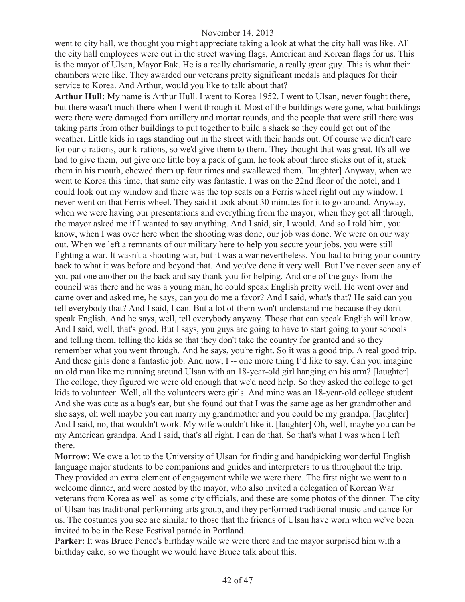went to city hall, we thought you might appreciate taking a look at what the city hall was like. All the city hall employees were out in the street waving flags, American and Korean flags for us. This is the mayor of Ulsan, Mayor Bak. He is a really charismatic, a really great guy. This is what their chambers were like. They awarded our veterans pretty significant medals and plaques for their service to Korea. And Arthur, would you like to talk about that?

**Arthur Hull:** My name is Arthur Hull. I went to Korea 1952. I went to Ulsan, never fought there, but there wasn't much there when I went through it. Most of the buildings were gone, what buildings were there were damaged from artillery and mortar rounds, and the people that were still there was taking parts from other buildings to put together to build a shack so they could get out of the weather. Little kids in rags standing out in the street with their hands out. Of course we didn't care for our c-rations, our k-rations, so we'd give them to them. They thought that was great. It's all we had to give them, but give one little boy a pack of gum, he took about three sticks out of it, stuck them in his mouth, chewed them up four times and swallowed them. [laughter] Anyway, when we went to Korea this time, that same city was fantastic. I was on the 22nd floor of the hotel, and I could look out my window and there was the top seats on a Ferris wheel right out my window. I never went on that Ferris wheel. They said it took about 30 minutes for it to go around. Anyway, when we were having our presentations and everything from the mayor, when they got all through, the mayor asked me if I wanted to say anything. And I said, sir, I would. And so I told him, you know, when I was over here when the shooting was done, our job was done. We were on our way out. When we left a remnants of our military here to help you secure your jobs, you were still fighting a war. It wasn't a shooting war, but it was a war nevertheless. You had to bring your country back to what it was before and beyond that. And you've done it very well. But I've never seen any of you pat one another on the back and say thank you for helping. And one of the guys from the council was there and he was a young man, he could speak English pretty well. He went over and came over and asked me, he says, can you do me a favor? And I said, what's that? He said can you tell everybody that? And I said, I can. But a lot of them won't understand me because they don't speak English. And he says, well, tell everybody anyway. Those that can speak English will know. And I said, well, that's good. But I says, you guys are going to have to start going to your schools and telling them, telling the kids so that they don't take the country for granted and so they remember what you went through. And he says, you're right. So it was a good trip. A real good trip. And these girls done a fantastic job. And now, I -- one more thing I'd like to say. Can you imagine an old man like me running around Ulsan with an 18-year-old girl hanging on his arm? [laughter] The college, they figured we were old enough that we'd need help. So they asked the college to get kids to volunteer. Well, all the volunteers were girls. And mine was an 18-year-old college student. And she was cute as a bug's ear, but she found out that I was the same age as her grandmother and she says, oh well maybe you can marry my grandmother and you could be my grandpa. [laughter] And I said, no, that wouldn't work. My wife wouldn't like it. [laughter] Oh, well, maybe you can be my American grandpa. And I said, that's all right. I can do that. So that's what I was when I left there.

**Morrow:** We owe a lot to the University of Ulsan for finding and handpicking wonderful English language major students to be companions and guides and interpreters to us throughout the trip. They provided an extra element of engagement while we were there. The first night we went to a welcome dinner, and were hosted by the mayor, who also invited a delegation of Korean War veterans from Korea as well as some city officials, and these are some photos of the dinner. The city of Ulsan has traditional performing arts group, and they performed traditional music and dance for us. The costumes you see are similar to those that the friends of Ulsan have worn when we've been invited to be in the Rose Festival parade in Portland.

Parker: It was Bruce Pence's birthday while we were there and the mayor surprised him with a birthday cake, so we thought we would have Bruce talk about this.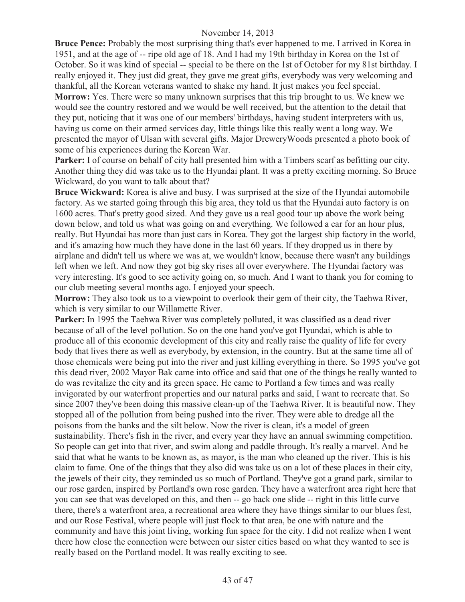**Bruce Pence:** Probably the most surprising thing that's ever happened to me. I arrived in Korea in 1951, and at the age of -- ripe old age of 18. And I had my 19th birthday in Korea on the 1st of October. So it was kind of special -- special to be there on the 1st of October for my 81st birthday. I really enjoyed it. They just did great, they gave me great gifts, everybody was very welcoming and thankful, all the Korean veterans wanted to shake my hand. It just makes you feel special.

**Morrow:** Yes. There were so many unknown surprises that this trip brought to us. We knew we would see the country restored and we would be well received, but the attention to the detail that they put, noticing that it was one of our members' birthdays, having student interpreters with us, having us come on their armed services day, little things like this really went a long way. We presented the mayor of Ulsan with several gifts. Major DreweryWoods presented a photo book of some of his experiences during the Korean War.

**Parker:** I of course on behalf of city hall presented him with a Timbers scarf as befitting our city. Another thing they did was take us to the Hyundai plant. It was a pretty exciting morning. So Bruce Wickward, do you want to talk about that?

**Bruce Wickward:** Korea is alive and busy. I was surprised at the size of the Hyundai automobile factory. As we started going through this big area, they told us that the Hyundai auto factory is on 1600 acres. That's pretty good sized. And they gave us a real good tour up above the work being down below, and told us what was going on and everything. We followed a car for an hour plus, really. But Hyundai has more than just cars in Korea. They got the largest ship factory in the world, and it's amazing how much they have done in the last 60 years. If they dropped us in there by airplane and didn't tell us where we was at, we wouldn't know, because there wasn't any buildings left when we left. And now they got big sky rises all over everywhere. The Hyundai factory was very interesting. It's good to see activity going on, so much. And I want to thank you for coming to our club meeting several months ago. I enjoyed your speech.

**Morrow:** They also took us to a viewpoint to overlook their gem of their city, the Taehwa River, which is very similar to our Willamette River.

Parker: In 1995 the Taehwa River was completely polluted, it was classified as a dead river because of all of the level pollution. So on the one hand you've got Hyundai, which is able to produce all of this economic development of this city and really raise the quality of life for every body that lives there as well as everybody, by extension, in the country. But at the same time all of those chemicals were being put into the river and just killing everything in there. So 1995 you've got this dead river, 2002 Mayor Bak came into office and said that one of the things he really wanted to do was revitalize the city and its green space. He came to Portland a few times and was really invigorated by our waterfront properties and our natural parks and said, I want to recreate that. So since 2007 they've been doing this massive clean-up of the Taehwa River. It is beautiful now. They stopped all of the pollution from being pushed into the river. They were able to dredge all the poisons from the banks and the silt below. Now the river is clean, it's a model of green sustainability. There's fish in the river, and every year they have an annual swimming competition. So people can get into that river, and swim along and paddle through. It's really a marvel. And he said that what he wants to be known as, as mayor, is the man who cleaned up the river. This is his claim to fame. One of the things that they also did was take us on a lot of these places in their city, the jewels of their city, they reminded us so much of Portland. They've got a grand park, similar to our rose garden, inspired by Portland's own rose garden. They have a waterfront area right here that you can see that was developed on this, and then -- go back one slide -- right in this little curve there, there's a waterfront area, a recreational area where they have things similar to our blues fest, and our Rose Festival, where people will just flock to that area, be one with nature and the community and have this joint living, working fun space for the city. I did not realize when I went there how close the connection were between our sister cities based on what they wanted to see is really based on the Portland model. It was really exciting to see.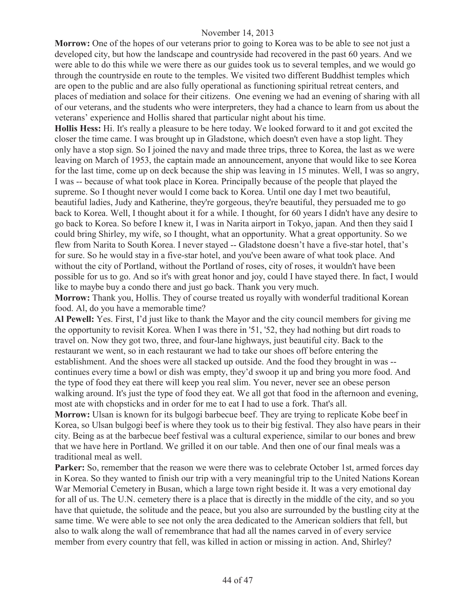**Morrow:** One of the hopes of our veterans prior to going to Korea was to be able to see not just a developed city, but how the landscape and countryside had recovered in the past 60 years. And we were able to do this while we were there as our guides took us to several temples, and we would go through the countryside en route to the temples. We visited two different Buddhist temples which are open to the public and are also fully operational as functioning spiritual retreat centers, and places of mediation and solace for their citizens. One evening we had an evening of sharing with all of our veterans, and the students who were interpreters, they had a chance to learn from us about the veterans' experience and Hollis shared that particular night about his time.

**Hollis Hess:** Hi. It's really a pleasure to be here today. We looked forward to it and got excited the closer the time came. I was brought up in Gladstone, which doesn't even have a stop light. They only have a stop sign. So I joined the navy and made three trips, three to Korea, the last as we were leaving on March of 1953, the captain made an announcement, anyone that would like to see Korea for the last time, come up on deck because the ship was leaving in 15 minutes. Well, I was so angry, I was -- because of what took place in Korea. Principally because of the people that played the supreme. So I thought never would I come back to Korea. Until one day I met two beautiful, beautiful ladies, Judy and Katherine, they're gorgeous, they're beautiful, they persuaded me to go back to Korea. Well, I thought about it for a while. I thought, for 60 years I didn't have any desire to go back to Korea. So before I knew it, I was in Narita airport in Tokyo, japan. And then they said I could bring Shirley, my wife, so I thought, what an opportunity. What a great opportunity. So we flew from Narita to South Korea. I never stayed -- Gladstone doesn't have a five-star hotel, that's for sure. So he would stay in a five-star hotel, and you've been aware of what took place. And without the city of Portland, without the Portland of roses, city of roses, it wouldn't have been possible for us to go. And so it's with great honor and joy, could I have stayed there. In fact, I would like to maybe buy a condo there and just go back. Thank you very much.

**Morrow:** Thank you, Hollis. They of course treated us royally with wonderful traditional Korean food. Al, do you have a memorable time?

**Al Pewell:** Yes. First, I'd just like to thank the Mayor and the city council members for giving me the opportunity to revisit Korea. When I was there in '51, '52, they had nothing but dirt roads to travel on. Now they got two, three, and four-lane highways, just beautiful city. Back to the restaurant we went, so in each restaurant we had to take our shoes off before entering the establishment. And the shoes were all stacked up outside. And the food they brought in was - continues every time a bowl or dish was empty, they'd swoop it up and bring you more food. And the type of food they eat there will keep you real slim. You never, never see an obese person walking around. It's just the type of food they eat. We all got that food in the afternoon and evening, most ate with chopsticks and in order for me to eat I had to use a fork. That's all.

**Morrow:** Ulsan is known for its bulgogi barbecue beef. They are trying to replicate Kobe beef in Korea, so Ulsan bulgogi beef is where they took us to their big festival. They also have pears in their city. Being as at the barbecue beef festival was a cultural experience, similar to our bones and brew that we have here in Portland. We grilled it on our table. And then one of our final meals was a traditional meal as well.

**Parker:** So, remember that the reason we were there was to celebrate October 1st, armed forces day in Korea. So they wanted to finish our trip with a very meaningful trip to the United Nations Korean War Memorial Cemetery in Busan, which a large town right beside it. It was a very emotional day for all of us. The U.N. cemetery there is a place that is directly in the middle of the city, and so you have that quietude, the solitude and the peace, but you also are surrounded by the bustling city at the same time. We were able to see not only the area dedicated to the American soldiers that fell, but also to walk along the wall of remembrance that had all the names carved in of every service member from every country that fell, was killed in action or missing in action. And, Shirley?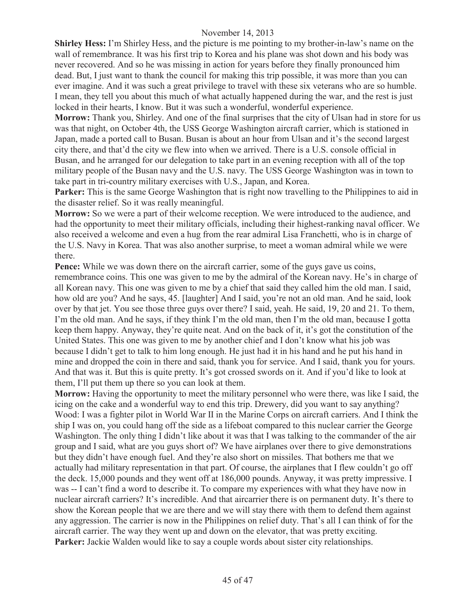**Shirley Hess:** I'm Shirley Hess, and the picture is me pointing to my brother-in-law's name on the wall of remembrance. It was his first trip to Korea and his plane was shot down and his body was never recovered. And so he was missing in action for years before they finally pronounced him dead. But, I just want to thank the council for making this trip possible, it was more than you can ever imagine. And it was such a great privilege to travel with these six veterans who are so humble. I mean, they tell you about this much of what actually happened during the war, and the rest is just locked in their hearts, I know. But it was such a wonderful, wonderful experience.

**Morrow:** Thank you, Shirley. And one of the final surprises that the city of Ulsan had in store for us was that night, on October 4th, the USS George Washington aircraft carrier, which is stationed in Japan, made a ported call to Busan. Busan is about an hour from Ulsan and it's the second largest city there, and that'd the city we flew into when we arrived. There is a U.S. console official in Busan, and he arranged for our delegation to take part in an evening reception with all of the top military people of the Busan navy and the U.S. navy. The USS George Washington was in town to take part in tri-country military exercises with U.S., Japan, and Korea.

**Parker:** This is the same George Washington that is right now travelling to the Philippines to aid in the disaster relief. So it was really meaningful.

**Morrow:** So we were a part of their welcome reception. We were introduced to the audience, and had the opportunity to meet their military officials, including their highest-ranking naval officer. We also received a welcome and even a hug from the rear admiral Lisa Franchetti, who is in charge of the U.S. Navy in Korea. That was also another surprise, to meet a woman admiral while we were there.

**Pence:** While we was down there on the aircraft carrier, some of the guys gave us coins, remembrance coins. This one was given to me by the admiral of the Korean navy. He's in charge of all Korean navy. This one was given to me by a chief that said they called him the old man. I said, how old are you? And he says, 45. [laughter] And I said, you're not an old man. And he said, look over by that jet. You see those three guys over there? I said, yeah. He said, 19, 20 and 21. To them, I'm the old man. And he says, if they think I'm the old man, then I'm the old man, because I gotta keep them happy. Anyway, they're quite neat. And on the back of it, it's got the constitution of the United States. This one was given to me by another chief and I don't know what his job was because I didn't get to talk to him long enough. He just had it in his hand and he put his hand in mine and dropped the coin in there and said, thank you for service. And I said, thank you for yours. And that was it. But this is quite pretty. It's got crossed swords on it. And if you'd like to look at them, I'll put them up there so you can look at them.

**Morrow:** Having the opportunity to meet the military personnel who were there, was like I said, the icing on the cake and a wonderful way to end this trip. Drewery, did you want to say anything? Wood: I was a fighter pilot in World War II in the Marine Corps on aircraft carriers. And I think the ship I was on, you could hang off the side as a lifeboat compared to this nuclear carrier the George Washington. The only thing I didn't like about it was that I was talking to the commander of the air group and I said, what are you guys short of? We have airplanes over there to give demonstrations but they didn't have enough fuel. And they're also short on missiles. That bothers me that we actually had military representation in that part. Of course, the airplanes that I flew couldn't go off the deck. 15,000 pounds and they went off at 186,000 pounds. Anyway, it was pretty impressive. I was -- I can't find a word to describe it. To compare my experiences with what they have now in nuclear aircraft carriers? It's incredible. And that aircarrier there is on permanent duty. It's there to show the Korean people that we are there and we will stay there with them to defend them against any aggression. The carrier is now in the Philippines on relief duty. That's all I can think of for the aircraft carrier. The way they went up and down on the elevator, that was pretty exciting. Parker: Jackie Walden would like to say a couple words about sister city relationships.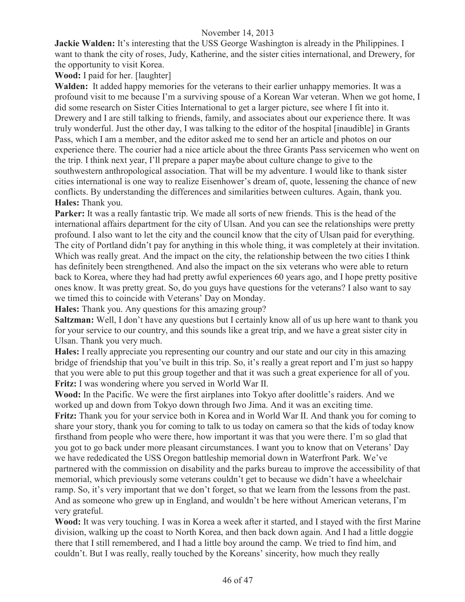**Jackie Walden:** It's interesting that the USS George Washington is already in the Philippines. I want to thank the city of roses, Judy, Katherine, and the sister cities international, and Drewery, for the opportunity to visit Korea.

**Wood:** I paid for her. [laughter]

**Walden:** It added happy memories for the veterans to their earlier unhappy memories. It was a profound visit to me because I'm a surviving spouse of a Korean War veteran. When we got home, I did some research on Sister Cities International to get a larger picture, see where I fit into it. Drewery and I are still talking to friends, family, and associates about our experience there. It was truly wonderful. Just the other day, I was talking to the editor of the hospital [inaudible] in Grants Pass, which I am a member, and the editor asked me to send her an article and photos on our experience there. The courier had a nice article about the three Grants Pass servicemen who went on the trip. I think next year, I'll prepare a paper maybe about culture change to give to the southwestern anthropological association. That will be my adventure. I would like to thank sister cities international is one way to realize Eisenhower's dream of, quote, lessening the chance of new conflicts. By understanding the differences and similarities between cultures. Again, thank you. **Hales:** Thank you.

Parker: It was a really fantastic trip. We made all sorts of new friends. This is the head of the international affairs department for the city of Ulsan. And you can see the relationships were pretty profound. I also want to let the city and the council know that the city of Ulsan paid for everything. The city of Portland didn't pay for anything in this whole thing, it was completely at their invitation. Which was really great. And the impact on the city, the relationship between the two cities I think has definitely been strengthened. And also the impact on the six veterans who were able to return back to Korea, where they had had pretty awful experiences 60 years ago, and I hope pretty positive ones know. It was pretty great. So, do you guys have questions for the veterans? I also want to say we timed this to coincide with Veterans' Day on Monday.

**Hales:** Thank you. Any questions for this amazing group?

**Saltzman:** Well, I don't have any questions but I certainly know all of us up here want to thank you for your service to our country, and this sounds like a great trip, and we have a great sister city in Ulsan. Thank you very much.

**Hales:** I really appreciate you representing our country and our state and our city in this amazing bridge of friendship that you've built in this trip. So, it's really a great report and I'm just so happy that you were able to put this group together and that it was such a great experience for all of you. **Fritz:** I was wondering where you served in World War II.

**Wood:** In the Pacific. We were the first airplanes into Tokyo after doolittle's raiders. And we worked up and down from Tokyo down through Iwo Jima. And it was an exciting time. **Fritz:** Thank you for your service both in Korea and in World War II. And thank you for coming to share your story, thank you for coming to talk to us today on camera so that the kids of today know firsthand from people who were there, how important it was that you were there. I'm so glad that you got to go back under more pleasant circumstances. I want you to know that on Veterans' Day we have rededicated the USS Oregon battleship memorial down in Waterfront Park. We've partnered with the commission on disability and the parks bureau to improve the accessibility of that memorial, which previously some veterans couldn't get to because we didn't have a wheelchair ramp. So, it's very important that we don't forget, so that we learn from the lessons from the past. And as someone who grew up in England, and wouldn't be here without American veterans, I'm very grateful.

**Wood:** It was very touching. I was in Korea a week after it started, and I stayed with the first Marine division, walking up the coast to North Korea, and then back down again. And I had a little doggie there that I still remembered, and I had a little boy around the camp. We tried to find him, and couldn't. But I was really, really touched by the Koreans' sincerity, how much they really